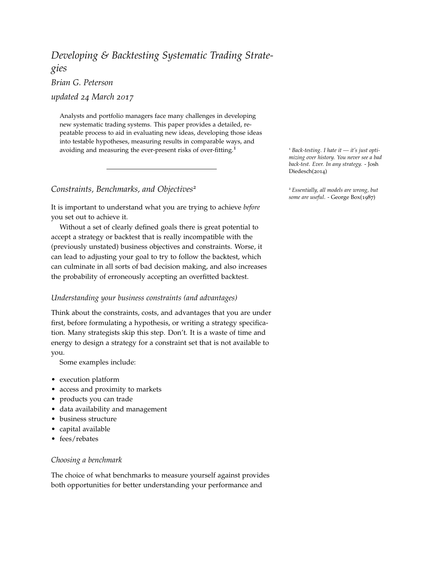# <span id="page-0-0"></span>*Developing & Backtesting Systematic Trading Strategies Brian G. Peterson*

*updated 24 March 2017*

Analysts and portfolio managers face many challenges in developing new systematic trading systems. This paper provides a detailed, repeatable process to aid in evaluating new ideas, developing those ideas into testable hypotheses, measuring results in comparable ways, and avoiding and measuring the ever-present risks of over-fitting.<sup>1</sup> <sup>1</sup> *Back-testing. I hate it — it's just opti-*

*Constraints, Benchmarks, and Objectives*<sup>2</sup> <sup>2</sup> *Essentially, all models are wrong, but*

It is important to understand what you are trying to achieve *before* you set out to achieve it.

Without a set of clearly defined goals there is great potential to accept a strategy or backtest that is really incompatible with the (previously unstated) business objectives and constraints. Worse, it can lead to adjusting your goal to try to follow the backtest, which can culminate in all sorts of bad decision making, and also increases the probability of erroneously accepting an overfitted backtest.

# *Understanding your business constraints (and advantages)*

Think about the constraints, costs, and advantages that you are under first, before formulating a hypothesis, or writing a strategy specification. Many strategists skip this step. Don't. It is a waste of time and energy to design a strategy for a constraint set that is not available to you.

Some examples include:

- execution platform
- access and proximity to markets
- products you can trade
- data availability and management
- business structure
- capital available
- fees/rebates

# *Choosing a benchmark*

The choice of what benchmarks to measure yourself against provides both opportunities for better understanding your performance and

*mizing over history. You never see a bad back-test. Ever. In any strategy.* - Josh Diedesch(2014)

*some are useful*. - George Box(1987)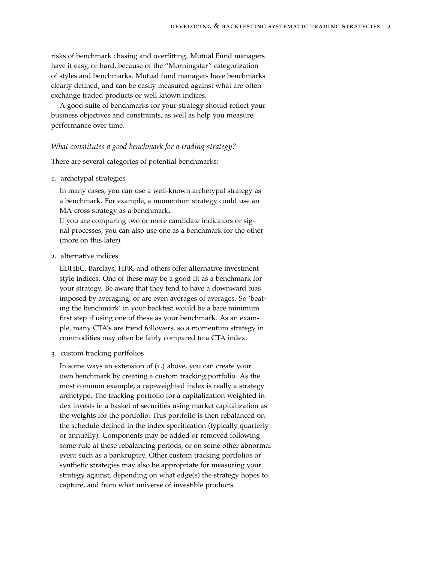risks of benchmark chasing and overfitting. Mutual Fund managers have it easy, or hard, because of the "Morningstar" categorization of styles and benchmarks. Mutual fund managers have benchmarks clearly defined, and can be easily measured against what are often exchange traded products or well known indices.

A good suite of benchmarks for your strategy should reflect your business objectives and constraints, as well as help you measure performance over time.

#### *What constitutes a good benchmark for a trading strategy?*

There are several categories of potential benchmarks:

1. archetypal strategies

In many cases, you can use a well-known archetypal strategy as a benchmark. For example, a momentum strategy could use an MA-cross strategy as a benchmark.

If you are comparing two or more candidate indicators or signal processes, you can also use one as a benchmark for the other (more on this later).

2. alternative indices

EDHEC, Barclays, HFR, and others offer alternative investment style indices. One of these may be a good fit as a benchmark for your strategy. Be aware that they tend to have a downward bias imposed by averaging, or are even averages of averages. So 'beating the benchmark' in your backtest would be a bare minimum first step if using one of these as your benchmark. As an example, many CTA's are trend followers, so a momentum strategy in commodities may often be fairly compared to a CTA index.

3. custom tracking portfolios

In some ways an extension of (1.) above, you can create your own benchmark by creating a custom tracking portfolio. As the most common example, a cap-weighted index is really a strategy archetype. The tracking portfolio for a capitalization-weighted index invests in a basket of securities using market capitalization as the weights for the portfolio. This portfolio is then rebalanced on the schedule defined in the index specification (typically quarterly or annually). Components may be added or removed following some rule at these rebalancing periods, or on some other abnormal event such as a bankruptcy. Other custom tracking portfolios or synthetic strategies may also be appropriate for measuring your strategy against, depending on what edge(s) the strategy hopes to capture, and from what universe of investible products.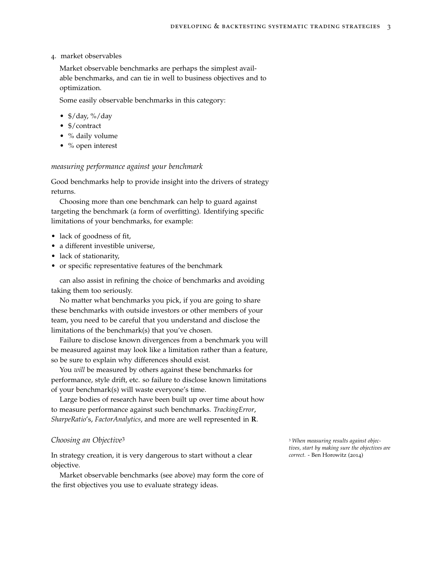#### 4. market observables

Market observable benchmarks are perhaps the simplest available benchmarks, and can tie in well to business [objectives](#page-0-0) and to [optimization.](#page-0-0)

Some easily observable benchmarks in this category:

- $\frac{4}{3}$ /day, %/day
- \$/contract
- % daily volume
- % open interest

#### *measuring performance against your benchmark*

Good benchmarks help to provide insight into the drivers of strategy returns.

Choosing more than one benchmark can help to guard against targeting the benchmark (a form of overfitting). Identifying specific limitations of your benchmarks, for example:

- lack of goodness of fit,
- a different investible universe,
- lack of stationarity,
- or specific representative features of the benchmark

can also assist in refining the choice of benchmarks and avoiding taking them too seriously.

No matter what benchmarks you pick, if you are going to share these benchmarks with outside investors or other members of your team, you need to be careful that you understand and disclose the limitations of the benchmark(s) that you've chosen.

Failure to disclose known divergences from a benchmark you will be measured against may look like a limitation rather than a feature, so be sure to explain why differences should exist.

You *will* be measured by others against these benchmarks for performance, style drift, etc. so failure to disclose known limitations of your benchmark(s) will waste everyone's time.

Large bodies of research have been built up over time about how to measure performance against such benchmarks. *TrackingError*, *SharpeRatio*'s, *FactorAnalytics*, and more are well represented in **R**.

#### **Choosing an Objective<sup>3</sup> 3** *When measuring results against objection* **and the set of the set of the set of the set of the set of the set of the set of the set of the set of the set of the set of the set of the set of the**

In strategy creation, it is very dangerous to start without a clear *correct.* - Ben Horowitz (2014) objective.

Market observable benchmarks (see above) may form the core of the first objectives you use to evaluate strategy ideas.

*tives, start by making sure the objectives are*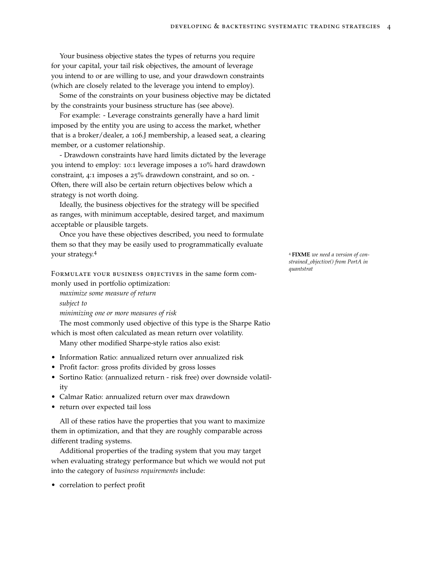Your business objective states the types of returns you require for your capital, your tail risk objectives, the amount of leverage you intend to or are willing to use, and your drawdown constraints (which are closely related to the leverage you intend to employ).

Some of the constraints on your business objective may be dictated by the constraints your business structure has (see above).

For example: - Leverage constraints generally have a hard limit imposed by the entity you are using to access the market, whether that is a broker/dealer, a 106.J membership, a leased seat, a clearing member, or a customer relationship.

- Drawdown constraints have hard limits dictated by the leverage you intend to employ: 10:1 leverage imposes a 10% hard drawdown constraint, 4:1 imposes a 25% drawdown constraint, and so on. - Often, there will also be certain return objectives below which a strategy is not worth doing.

Ideally, the business objectives for the strategy will be specified as ranges, with minimum acceptable, desired target, and maximum acceptable or plausible targets.

Once you have these objectives described, you need to formulate them so that they may be easily used to programmatically evaluate your strategy.<sup>4</sup> <sup>4</sup> **FIXME** *we need a version of con-*

Formulate your business objectives in the same form commonly used in portfolio optimization:

*maximize some measure of return subject to minimizing one or more measures of risk*

The most commonly used objective of this type is the Sharpe Ratio which is most often calculated as mean return over volatility.

Many other modified Sharpe-style ratios also exist:

- Information Ratio: annualized return over annualized risk
- Profit factor: gross profits divided by gross losses
- Sortino Ratio: (annualized return risk free) over downside volatility
- Calmar Ratio: annualized return over max drawdown
- return over expected tail loss

All of these ratios have the properties that you want to maximize them in optimization, and that they are roughly comparable across different trading systems.

Additional properties of the trading system that you may target when evaluating strategy performance but which we would not put into the category of *business requirements* include:

• correlation to perfect profit

*strained\_objective() from PortA in quantstrat*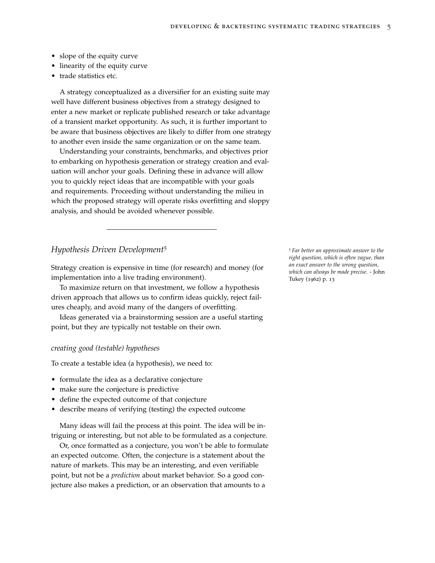- slope of the equity curve
- linearity of the equity curve
- trade statistics etc.

A strategy conceptualized as a diversifier for an existing suite may well have different business objectives from a strategy designed to enter a new market or replicate published research or take advantage of a transient market opportunity. As such, it is further important to be aware that business objectives are likely to differ from one strategy to another even inside the same organization or on the same team.

Understanding your constraints, benchmarks, and objectives prior to embarking on hypothesis generation or strategy creation and evaluation will anchor your goals. Defining these in advance will allow you to quickly reject ideas that are incompatible with your goals and requirements. Proceeding without understanding the milieu in which the proposed strategy will operate risks overfitting and sloppy analysis, and should be avoided whenever possible.

## *Hypothesis Driven Development<sup>5</sup>* 5 *Far better an approximate answer to the*

Strategy creation is expensive in time (for research) and money (for implementation into a live trading environment).

To maximize return on that investment, we follow a hypothesis driven approach that allows us to confirm ideas quickly, reject failures cheaply, and avoid many of the dangers of overfitting.

Ideas generated via a brainstorming session are a useful starting point, but they are typically not testable on their own.

#### *creating good (testable) hypotheses*

To create a testable idea (a hypothesis), we need to:

- formulate the idea as a declarative conjecture
- make sure the conjecture is predictive
- define the expected outcome of that conjecture
- describe means of verifying (testing) the expected outcome

Many ideas will fail the process at this point. The idea will be intriguing or interesting, but not able to be formulated as a conjecture.

Or, once formatted as a conjecture, you won't be able to formulate an expected outcome. Often, the conjecture is a statement about the nature of markets. This may be an interesting, and even verifiable point, but not be a *prediction* about market behavior. So a good conjecture also makes a prediction, or an observation that amounts to a

*right question, which is often vague, than an exact answer to the wrong question, which can always be made precise*. - John Tukey (1962) p. 13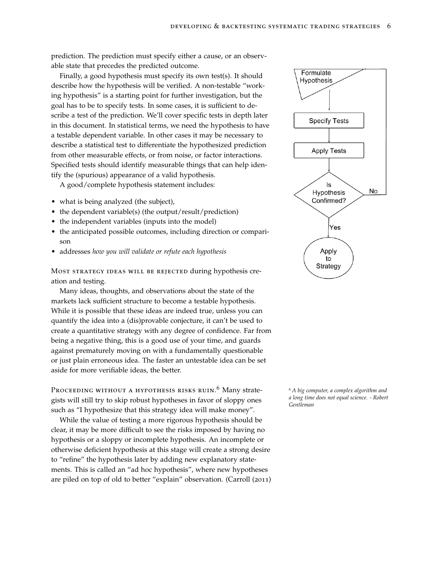prediction. The prediction must specify either a cause, or an observable state that precedes the predicted outcome.

Finally, a good hypothesis must specify its own test(s). It should describe how the hypothesis will be verified. A non-testable "working hypothesis" is a starting point for further investigation, but the goal has to be to specify tests. In some cases, it is sufficient to describe a test of the prediction. We'll cover specific tests in depth later in this document. In statistical terms, we need the hypothesis to have a testable dependent variable. In other cases it may be necessary to describe a statistical test to differentiate the hypothesized prediction from other measurable effects, or from noise, or factor interactions. Specified tests should identify measurable things that can help identify the (spurious) appearance of a valid hypothesis.

A good/complete hypothesis statement includes:

- what is being analyzed (the subject),
- the dependent variable(s) (the output/result/prediction)
- the independent variables (inputs into the model)
- the anticipated possible outcomes, including direction or comparison
- addresses *how you will validate or refute each hypothesis*

Most strategy ideas will be rejected during hypothesis creation and testing.

Many ideas, thoughts, and observations about the state of the markets lack sufficient structure to become a testable hypothesis. While it is possible that these ideas are indeed true, unless you can quantify the idea into a (dis)provable conjecture, it can't be used to create a quantitative strategy with any degree of confidence. Far from being a negative thing, this is a good use of your time, and guards against prematurely moving on with a fundamentally questionable or just plain erroneous idea. The faster an untestable idea can be set aside for more verifiable ideas, the better.

PROCEEDING WITHOUT A HYPOTHESIS RISKS RUIN.<sup>6</sup> Many strategists will still try to skip robust hypotheses in favor of sloppy ones such as "I hypothesize that this strategy idea will make money".

While the value of testing a more rigorous hypothesis should be clear, it may be more difficult to see the risks imposed by having no hypothesis or a sloppy or incomplete hypothesis. An incomplete or otherwise deficient hypothesis at this stage will create a strong desire to "refine" the hypothesis later by adding new explanatory statements. This is called an "ad hoc hypothesis", where new hypotheses are piled on top of old to better "explain" observation. (Carroll (2011)



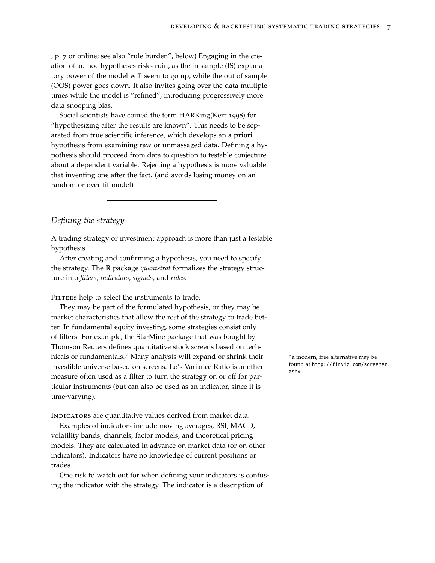, p. 7 or online; see also "rule burden", below) Engaging in the creation of ad hoc hypotheses risks ruin, as the in sample (IS) explanatory power of the model will seem to go up, while the out of sample (OOS) power goes down. It also invites going over the data multiple times while the model is "refined", introducing progressively more data snooping bias.

Social scientists have coined the term HARKing(Kerr 1998) for "hypothesizing after the results are known". This needs to be separated from true scientific inference, which develops an **a priori** hypothesis from examining raw or unmassaged data. Defining a hypothesis should proceed from data to question to testable conjecture about a dependent variable. Rejecting a hypothesis is more valuable that inventing one after the fact. (and avoids losing money on an random or over-fit model)

# *Defining the strategy*

A trading strategy or investment approach is more than just a testable hypothesis.

After creating and confirming a hypothesis, you need to specify the strategy. The **R** package *quantstrat* formalizes the strategy structure into *filters*, *indicators*, *signals*, and *rules*.

FILTERS help to select the instruments to trade.

They may be part of the formulated hypothesis, or they may be market characteristics that allow the rest of the strategy to trade better. In fundamental equity investing, some strategies consist only of filters. For example, the StarMine package that was bought by Thomson Reuters defines quantitative stock screens based on technicals or fundamentals.<sup>7</sup> Many analysts will expand or shrink their  $\frac{7}{4}$  a modern, free alternative may be investible universe based on screens. Lo's Variance Ratio is another measure often used as a filter to turn the strategy on or off for particular instruments (but can also be used as an indicator, since it is time-varying).

INDICATORS are quantitative values derived from market data.

Examples of indicators include moving averages, RSI, MACD, volatility bands, channels, factor models, and theoretical pricing models. They are calculated in advance on market data (or on other indicators). Indicators have no knowledge of current positions or trades.

One risk to watch out for when defining your indicators is confusing the indicator with the strategy. The indicator is a description of

found at [http://finviz.com/screener.](http://finviz.com/screener.ashx) [ashx](http://finviz.com/screener.ashx)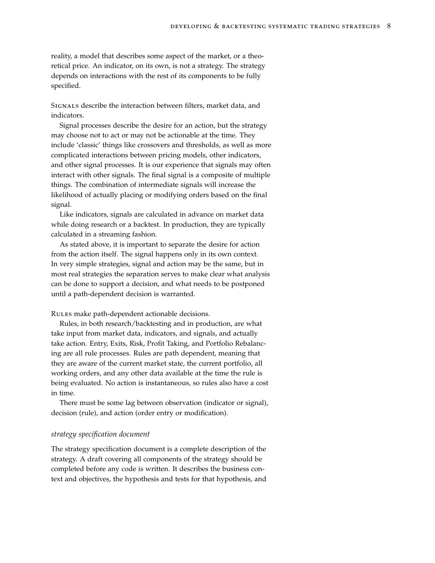reality, a model that describes some aspect of the market, or a theoretical price. An indicator, on its own, is not a strategy. The strategy depends on interactions with the rest of its components to be fully specified.

Signals describe the interaction between filters, market data, and indicators.

Signal processes describe the desire for an action, but the strategy may choose not to act or may not be actionable at the time. They include 'classic' things like crossovers and thresholds, as well as more complicated interactions between pricing models, other indicators, and other signal processes. It is our experience that signals may often interact with other signals. The final signal is a composite of multiple things. The combination of intermediate signals will increase the likelihood of actually placing or modifying orders based on the final signal.

Like indicators, signals are calculated in advance on market data while doing research or a backtest. In production, they are typically calculated in a streaming fashion.

As stated above, it is important to separate the desire for action from the action itself. The signal happens only in its own context. In very simple strategies, signal and action may be the same, but in most real strategies the separation serves to make clear what analysis can be done to support a decision, and what needs to be postponed until a path-dependent decision is warranted.

Rules make path-dependent actionable decisions.

Rules, in both research/backtesting and in production, are what take input from market data, indicators, and signals, and actually take action. Entry, Exits, Risk, Profit Taking, and Portfolio Rebalancing are all rule processes. Rules are path dependent, meaning that they are aware of the current market state, the current portfolio, all working orders, and any other data available at the time the rule is being evaluated. No action is instantaneous, so rules also have a cost in time.

There must be some lag between observation (indicator or signal), decision (rule), and action (order entry or modification).

#### *strategy specification document*

The strategy specification document is a complete description of the strategy. A draft covering all components of the strategy should be completed before any code is written. It describes the business context and objectives, the hypothesis and tests for that hypothesis, and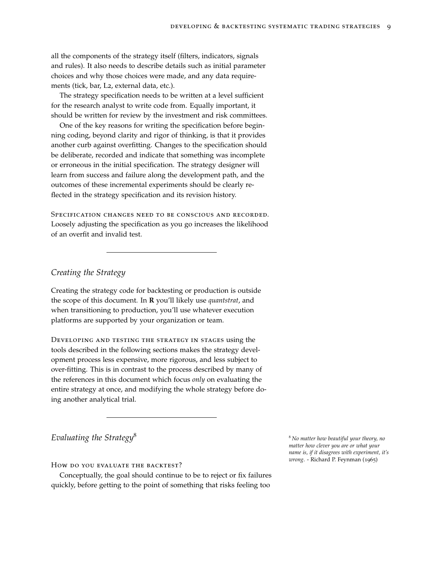all the components of the strategy itself (filters, indicators, signals and rules). It also needs to describe details such as initial parameter choices and why those choices were made, and any data requirements (tick, bar, L2, external data, etc.).

The strategy specification needs to be written at a level sufficient for the research analyst to write code from. Equally important, it should be written for review by the investment and risk committees.

One of the key reasons for writing the specification before beginning coding, beyond clarity and rigor of thinking, is that it provides another curb against overfitting. Changes to the specification should be deliberate, recorded and indicate that something was incomplete or erroneous in the initial specification. The strategy designer will learn from success and failure along the development path, and the outcomes of these incremental experiments should be clearly reflected in the strategy specification and its revision history.

Specification changes need to be conscious and recorded. Loosely adjusting the specification as you go increases the likelihood of an overfit and invalid test.

*Creating the Strategy*

Creating the strategy code for backtesting or production is outside the scope of this document. In **R** you'll likely use *quantstrat*, and when transitioning to production, you'll use whatever execution platforms are supported by your organization or team.

Developing and testing the strategy in stages using the tools described in the following sections makes the strategy development process less expensive, more rigorous, and less subject to over-fitting. This is in contrast to the process described by many of the references in this document which focus *only* on evaluating the entire strategy at once, and modifying the whole strategy before doing another analytical trial.

*Evaluating the Strategy*<sup>8</sup> <sup>8</sup> *No matter how beautiful your theory, no*

How do you evaluate the backtest?

Conceptually, the goal should continue to be to reject or fix failures quickly, before getting to the point of something that risks feeling too

*matter how clever you are or what your name is, if it disagrees with experiment, it's wrong*. - Richard P. Feynman (1965)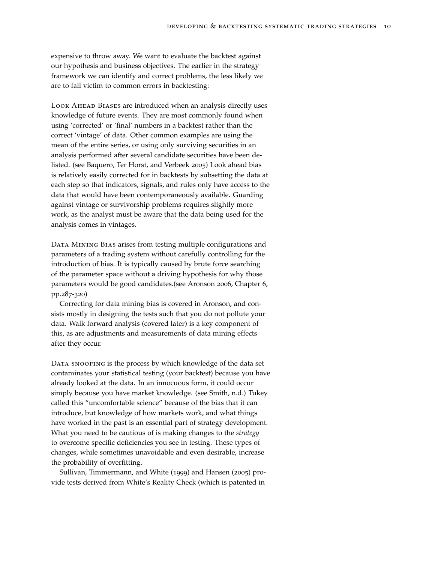expensive to throw away. We want to evaluate the backtest against our hypothesis and business objectives. The earlier in the strategy framework we can identify and correct problems, the less likely we are to fall victim to common errors in backtesting:

LOOK AHEAD BIASES are introduced when an analysis directly uses knowledge of future events. They are most commonly found when using 'corrected' or 'final' numbers in a backtest rather than the correct 'vintage' of data. Other common examples are using the mean of the entire series, or using only surviving securities in an analysis performed after several candidate securities have been delisted. (see Baquero, Ter Horst, and Verbeek 2005) Look ahead bias is relatively easily corrected for in backtests by subsetting the data at each step so that indicators, signals, and rules only have access to the data that would have been contemporaneously available. Guarding against vintage or survivorship problems requires slightly more work, as the analyst must be aware that the data being used for the analysis comes in vintages.

DATA MINING BIAS arises from testing multiple configurations and parameters of a trading system without carefully controlling for the introduction of bias. It is typically caused by brute force searching of the parameter space without a driving hypothesis for why those parameters would be good candidates.(see Aronson 2006, Chapter 6, pp.287-320)

Correcting for data mining bias is covered in Aronson, and consists mostly in designing the tests such that you do not pollute your data. Walk forward analysis (covered later) is a key component of this, as are adjustments and measurements of data mining effects after they occur.

DATA SNOOPING is the process by which knowledge of the data set contaminates your statistical testing (your backtest) because you have already looked at the data. In an innocuous form, it could occur simply because you have market knowledge. (see Smith, n.d.) Tukey called this "uncomfortable science" because of the bias that it can introduce, but knowledge of how markets work, and what things have worked in the past is an essential part of strategy development. What you need to be cautious of is making changes to the *strategy* to overcome specific deficiencies you see in testing. These types of changes, while sometimes unavoidable and even desirable, increase the probability of overfitting.

Sullivan, Timmermann, and White (1999) and Hansen (2005) provide tests derived from White's Reality Check (which is patented in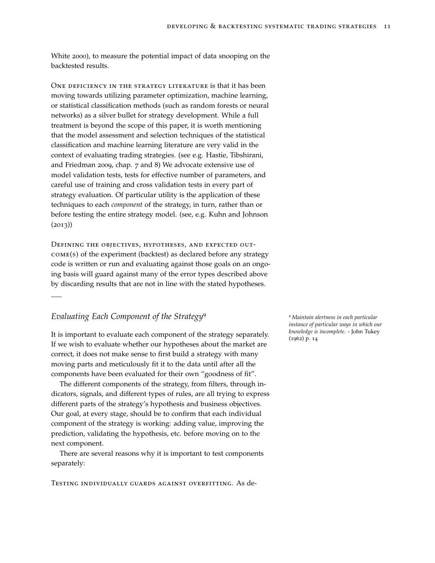White 2000), to measure the potential impact of data snooping on the backtested results.

ONE DEFICIENCY IN THE STRATEGY LITERATURE is that it has been moving towards utilizing parameter optimization, machine learning, or statistical classification methods (such as random forests or neural networks) as a silver bullet for strategy development. While a full treatment is beyond the scope of this paper, it is worth mentioning that the model assessment and selection techniques of the statistical classification and machine learning literature are very valid in the context of evaluating trading strategies. (see e.g. Hastie, Tibshirani, and Friedman 2009, chap. 7 and 8) We advocate extensive use of model validation tests, tests for effective number of parameters, and careful use of training and cross validation tests in every part of strategy evaluation. Of particular utility is the application of these techniques to each *component* of the strategy, in turn, rather than or before testing the entire strategy model. (see, e.g. Kuhn and Johnson  $(2013)$ 

Defining the objectives, hypotheses, and expected outcome(s) of the experiment (backtest) as declared before any strategy code is written or run and evaluating against those goals on an ongoing basis will guard against many of the error types described above by discarding results that are not in line with the stated hypotheses.

# *Evaluating Each Component of the Strategy*<sup>9</sup> <sup>9</sup> *Maintain alertness in each particular*

\_\_\_

It is important to evaluate each component of the strategy separately. If we wish to evaluate whether our hypotheses about the market are correct, it does not make sense to first build a strategy with many moving parts and meticulously fit it to the data until after all the components have been evaluated for their own "goodness of fit".

The different components of the strategy, from filters, through indicators, signals, and different types of rules, are all trying to express different parts of the strategy's hypothesis and business objectives. Our goal, at every stage, should be to confirm that each individual component of the strategy is working: adding value, improving the prediction, validating the hypothesis, etc. before moving on to the next component.

There are several reasons why it is important to test components separately:

Testing individually guards against overfitting. As de-

*instance of particular ways in which our knowledge is incomplete*. - John Tukey (1962) p. 14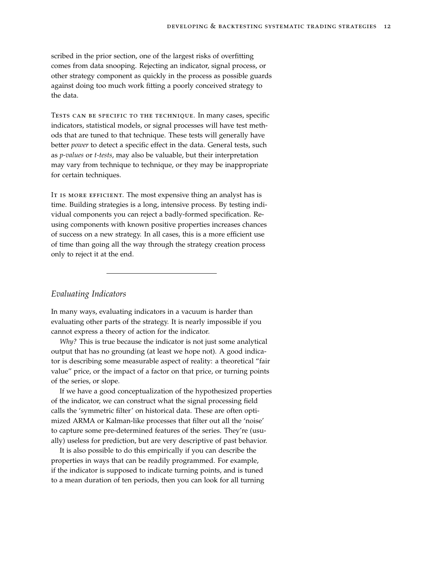scribed in the prior section, one of the largest risks of overfitting comes from data snooping. Rejecting an indicator, signal process, or other strategy component as quickly in the process as possible guards against doing too much work fitting a poorly conceived strategy to the data.

Tests can be specific to the technique. In many cases, specific indicators, statistical models, or signal processes will have test methods that are tuned to that technique. These tests will generally have better *power* to detect a specific effect in the data. General tests, such as *p-values* or *t-tests*, may also be valuable, but their interpretation may vary from technique to technique, or they may be inappropriate for certain techniques.

IT IS MORE EFFICIENT. The most expensive thing an analyst has is time. Building strategies is a long, intensive process. By testing individual components you can reject a badly-formed specification. Reusing components with known positive properties increases chances of success on a new strategy. In all cases, this is a more efficient use of time than going all the way through the strategy creation process only to reject it at the end.

# *Evaluating Indicators*

In many ways, evaluating indicators in a vacuum is harder than evaluating other parts of the strategy. It is nearly impossible if you cannot express a theory of action for the indicator.

*Why?* This is true because the indicator is not just some analytical output that has no grounding (at least we hope not). A good indicator is describing some measurable aspect of reality: a theoretical "fair value" price, or the impact of a factor on that price, or turning points of the series, or slope.

If we have a good conceptualization of the hypothesized properties of the indicator, we can construct what the signal processing field calls the 'symmetric filter' on historical data. These are often optimized ARMA or Kalman-like processes that filter out all the 'noise' to capture some pre-determined features of the series. They're (usually) useless for prediction, but are very descriptive of past behavior.

It is also possible to do this empirically if you can describe the properties in ways that can be readily programmed. For example, if the indicator is supposed to indicate turning points, and is tuned to a mean duration of ten periods, then you can look for all turning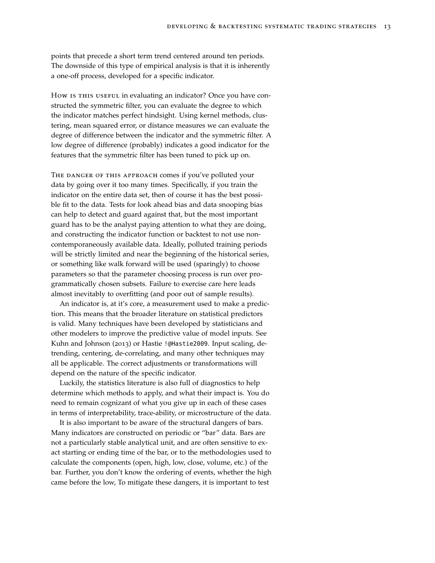points that precede a short term trend centered around ten periods. The downside of this type of empirical analysis is that it is inherently a one-off process, developed for a specific indicator.

How is this useful in evaluating an indicator? Once you have constructed the symmetric filter, you can evaluate the degree to which the indicator matches perfect hindsight. Using kernel methods, clustering, mean squared error, or distance measures we can evaluate the degree of difference between the indicator and the symmetric filter. A low degree of difference (probably) indicates a good indicator for the features that the symmetric filter has been tuned to pick up on.

THE DANGER OF THIS APPROACH comes if you've polluted your data by going over it too many times. Specifically, if you train the indicator on the entire data set, then of course it has the best possible fit to the data. Tests for look ahead bias and data snooping bias can help to detect and guard against that, but the most important guard has to be the analyst paying attention to what they are doing, and constructing the indicator function or backtest to not use noncontemporaneously available data. Ideally, polluted training periods will be strictly limited and near the beginning of the historical series, or something like walk forward will be used (sparingly) to choose parameters so that the parameter choosing process is run over programmatically chosen subsets. Failure to exercise care here leads almost inevitably to overfitting (and poor out of sample results).

An indicator is, at it's core, a measurement used to make a prediction. This means that the broader literature on statistical predictors is valid. Many techniques have been developed by statisticians and other modelers to improve the predictive value of model inputs. See Kuhn and Johnson (2013) or Hastie [!@Hastie2009](mailto:!@Hastie2009). Input scaling, detrending, centering, de-correlating, and many other techniques may all be applicable. The correct adjustments or transformations will depend on the nature of the specific indicator.

Luckily, the statistics literature is also full of diagnostics to help determine which methods to apply, and what their impact is. You do need to remain cognizant of what you give up in each of these cases in terms of interpretability, trace-ability, or microstructure of the data.

It is also important to be aware of the structural dangers of bars. Many indicators are constructed on periodic or "bar" data. Bars are not a particularly stable analytical unit, and are often sensitive to exact starting or ending time of the bar, or to the methodologies used to calculate the components (open, high, low, close, volume, etc.) of the bar. Further, you don't know the ordering of events, whether the high came before the low, To mitigate these dangers, it is important to test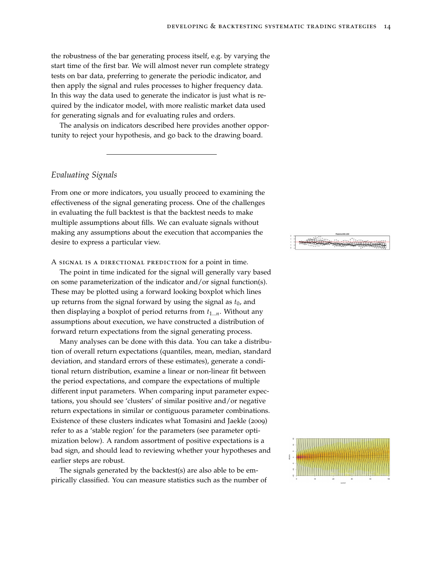the robustness of the bar generating process itself, e.g. by varying the start time of the first bar. We will almost never run complete strategy tests on bar data, preferring to generate the periodic indicator, and then apply the signal and rules processes to higher frequency data. In this way the data used to generate the indicator is just what is required by the indicator model, with more realistic market data used for generating signals and for evaluating rules and orders.

The analysis on indicators described here provides another opportunity to reject your hypothesis, and go back to the drawing board.

# *Evaluating Signals*

From one or more indicators, you usually proceed to examining the effectiveness of the signal generating process. One of the challenges in evaluating the full backtest is that the backtest needs to make multiple assumptions about fills. We can evaluate signals without making any assumptions about the execution that accompanies the desire to express a particular view.

A signal is a directional prediction for a point in time.

The point in time indicated for the signal will generally vary based on some parameterization of the indicator and/or signal function(s). These may be plotted using a forward looking boxplot which lines up returns from the signal forward by using the signal as  $t_0$ , and then displaying a boxplot of period returns from  $t_{1...n}$ . Without any assumptions about execution, we have constructed a distribution of forward return expectations from the signal generating process.

Many analyses can be done with this data. You can take a distribution of overall return expectations (quantiles, mean, median, standard deviation, and standard errors of these estimates), generate a conditional return distribution, examine a linear or non-linear fit between the period expectations, and compare the expectations of multiple different input parameters. When comparing input parameter expectations, you should see 'clusters' of similar positive and/or negative return expectations in similar or contiguous parameter combinations. Existence of these clusters indicates what Tomasini and Jaekle (2009) refer to as a 'stable region' for the parameters (see parameter optimization below). A random assortment of positive expectations is a bad sign, and should lead to reviewing whether your hypotheses and earlier steps are robust.

The signals generated by the backtest(s) are also able to be empirically classified. You can measure statistics such as the number of



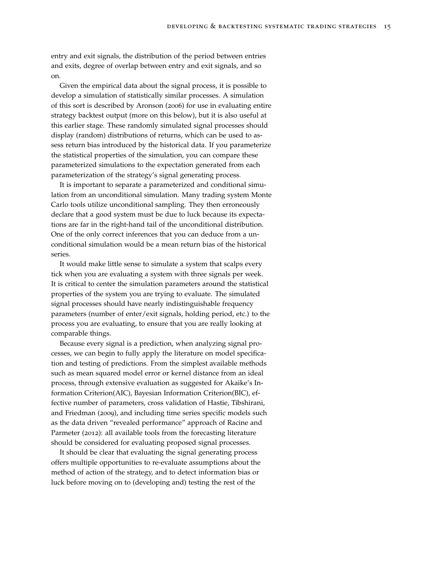entry and exit signals, the distribution of the period between entries and exits, degree of overlap between entry and exit signals, and so on.

Given the empirical data about the signal process, it is possible to develop a simulation of statistically similar processes. A simulation of this sort is described by Aronson (2006) for use in evaluating entire strategy backtest output (more on this below), but it is also useful at this earlier stage. These randomly simulated signal processes should display (random) distributions of returns, which can be used to assess return bias introduced by the historical data. If you parameterize the statistical properties of the simulation, you can compare these parameterized simulations to the expectation generated from each parameterization of the strategy's signal generating process.

It is important to separate a parameterized and conditional simulation from an unconditional simulation. Many trading system Monte Carlo tools utilize unconditional sampling. They then erroneously declare that a good system must be due to luck because its expectations are far in the right-hand tail of the unconditional distribution. One of the only correct inferences that you can deduce from a unconditional simulation would be a mean return bias of the historical series.

It would make little sense to simulate a system that scalps every tick when you are evaluating a system with three signals per week. It is critical to center the simulation parameters around the statistical properties of the system you are trying to evaluate. The simulated signal processes should have nearly indistinguishable frequency parameters (number of enter/exit signals, holding period, etc.) to the process you are evaluating, to ensure that you are really looking at comparable things.

Because every signal is a prediction, when analyzing signal processes, we can begin to fully apply the literature on model specification and testing of predictions. From the simplest available methods such as mean squared model error or kernel distance from an ideal process, through extensive evaluation as suggested for Akaike's Information Criterion(AIC), Bayesian Information Criterion(BIC), effective number of parameters, cross validation of Hastie, Tibshirani, and Friedman (2009), and including time series specific models such as the data driven "revealed performance" approach of Racine and Parmeter (2012): all available tools from the forecasting literature should be considered for evaluating proposed signal processes.

It should be clear that evaluating the signal generating process offers multiple opportunities to re-evaluate assumptions about the method of action of the strategy, and to detect information bias or luck before moving on to (developing and) testing the rest of the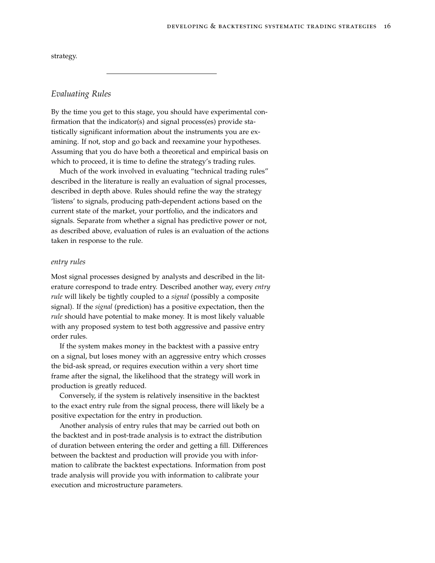| strategy. |  |
|-----------|--|
|-----------|--|

# *Evaluating Rules*

By the time you get to this stage, you should have experimental confirmation that the indicator(s) and signal process(es) provide statistically significant information about the instruments you are examining. If not, stop and go back and reexamine your hypotheses. Assuming that you do have both a theoretical and empirical basis on which to proceed, it is time to define the strategy's trading rules.

Much of the work involved in evaluating "technical trading rules" described in the literature is really an evaluation of signal processes, described in depth above. Rules should refine the way the strategy 'listens' to signals, producing path-dependent actions based on the current state of the market, your portfolio, and the indicators and signals. Separate from whether a signal has predictive power or not, as described above, evaluation of rules is an evaluation of the actions taken in response to the rule.

#### *entry rules*

Most signal processes designed by analysts and described in the literature correspond to trade entry. Described another way, every *entry rule* will likely be tightly coupled to a *signal* (possibly a composite signal). If the *signal* (prediction) has a positive expectation, then the *rule* should have potential to make money. It is most likely valuable with any proposed system to test both aggressive and passive entry order rules.

If the system makes money in the backtest with a passive entry on a signal, but loses money with an aggressive entry which crosses the bid-ask spread, or requires execution within a very short time frame after the signal, the likelihood that the strategy will work in production is greatly reduced.

Conversely, if the system is relatively insensitive in the backtest to the exact entry rule from the signal process, there will likely be a positive expectation for the entry in production.

Another analysis of entry rules that may be carried out both on the backtest and in post-trade analysis is to extract the distribution of duration between entering the order and getting a fill. Differences between the backtest and production will provide you with information to calibrate the backtest expectations. Information from post trade analysis will provide you with information to calibrate your execution and microstructure parameters.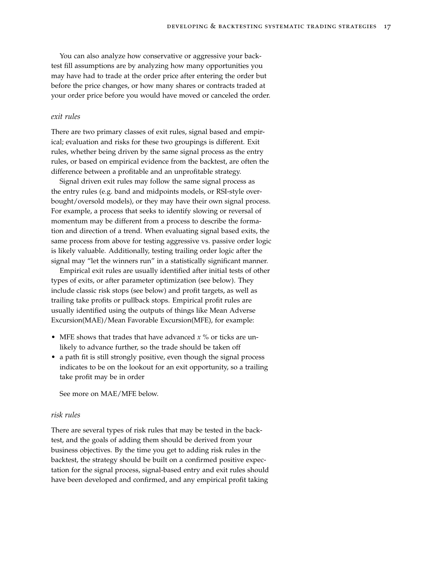You can also analyze how conservative or aggressive your backtest fill assumptions are by analyzing how many opportunities you may have had to trade at the order price after entering the order but before the price changes, or how many shares or contracts traded at your order price before you would have moved or canceled the order.

## *exit rules*

There are two primary classes of exit rules, signal based and empirical; evaluation and risks for these two groupings is different. Exit rules, whether being driven by the same signal process as the entry rules, or based on empirical evidence from the backtest, are often the difference between a profitable and an unprofitable strategy.

Signal driven exit rules may follow the same signal process as the entry rules (e.g. band and midpoints models, or RSI-style overbought/oversold models), or they may have their own signal process. For example, a process that seeks to identify slowing or reversal of momentum may be different from a process to describe the formation and direction of a trend. When evaluating signal based exits, the same process from above for testing aggressive vs. passive order logic is likely valuable. Additionally, testing trailing order logic after the signal may "let the winners run" in a statistically significant manner.

Empirical exit rules are usually identified after initial tests of other types of exits, or after parameter optimization (see below). They include classic risk stops (see below) and profit targets, as well as trailing take profits or pullback stops. Empirical profit rules are usually identified using the outputs of things like Mean Adverse Excursion(MAE)/Mean Favorable Excursion(MFE), for example:

- MFE shows that trades that have advanced *x* % or ticks are unlikely to advance further, so the trade should be taken off
- a path fit is still strongly positive, even though the signal process indicates to be on the lookout for an exit opportunity, so a trailing take profit may be in order

See more on MAE/MFE below.

#### *risk rules*

There are several types of risk rules that may be tested in the backtest, and the goals of adding them should be derived from your business objectives. By the time you get to adding risk rules in the backtest, the strategy should be built on a confirmed positive expectation for the signal process, signal-based entry and exit rules should have been developed and confirmed, and any empirical profit taking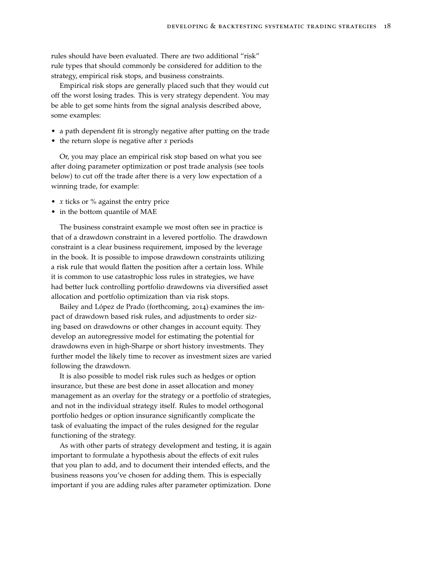rules should have been evaluated. There are two additional "risk" rule types that should commonly be considered for addition to the strategy, empirical risk stops, and business constraints.

Empirical risk stops are generally placed such that they would cut off the worst losing trades. This is very strategy dependent. You may be able to get some hints from the signal analysis described above, some examples:

- a path dependent fit is strongly negative after putting on the trade
- the return slope is negative after *x* periods

Or, you may place an empirical risk stop based on what you see after doing parameter optimization or post trade analysis (see tools below) to cut off the trade after there is a very low expectation of a winning trade, for example:

- *x* ticks or % against the entry price
- in the bottom quantile of MAE

The business constraint example we most often see in practice is that of a drawdown constraint in a levered portfolio. The drawdown constraint is a clear business requirement, imposed by the leverage in the book. It is possible to impose drawdown constraints utilizing a risk rule that would flatten the position after a certain loss. While it is common to use catastrophic loss rules in strategies, we have had better luck controlling portfolio drawdowns via diversified asset allocation and portfolio optimization than via risk stops.

Bailey and López de Prado (forthcoming, 2014) examines the impact of drawdown based risk rules, and adjustments to order sizing based on drawdowns or other changes in account equity. They develop an autoregressive model for estimating the potential for drawdowns even in high-Sharpe or short history investments. They further model the likely time to recover as investment sizes are varied following the drawdown.

It is also possible to model risk rules such as hedges or option insurance, but these are best done in asset allocation and money management as an overlay for the strategy or a portfolio of strategies, and not in the individual strategy itself. Rules to model orthogonal portfolio hedges or option insurance significantly complicate the task of evaluating the impact of the rules designed for the regular functioning of the strategy.

As with other parts of strategy development and testing, it is again important to formulate a hypothesis about the effects of exit rules that you plan to add, and to document their intended effects, and the business reasons you've chosen for adding them. This is especially important if you are adding rules after parameter optimization. Done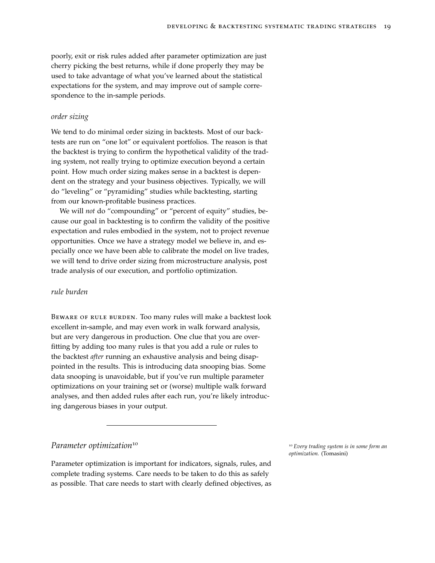poorly, exit or risk rules added after parameter optimization are just cherry picking the best returns, while if done properly they may be used to take advantage of what you've learned about the statistical expectations for the system, and may improve out of sample correspondence to the in-sample periods.

#### *order sizing*

We tend to do minimal order sizing in backtests. Most of our backtests are run on "one lot" or equivalent portfolios. The reason is that the backtest is trying to confirm the hypothetical validity of the trading system, not really trying to optimize execution beyond a certain point. How much order sizing makes sense in a backtest is dependent on the strategy and your business objectives. Typically, we will do "leveling" or "pyramiding" studies while backtesting, starting from our known-profitable business practices.

We will *not* do "compounding" or "percent of equity" studies, because our goal in backtesting is to confirm the validity of the positive expectation and rules embodied in the system, not to project revenue opportunities. Once we have a strategy model we believe in, and especially once we have been able to calibrate the model on live trades, we will tend to drive order sizing from microstructure analysis, post trade analysis of our execution, and portfolio optimization.

## *rule burden*

Beware of rule burden. Too many rules will make a backtest look excellent in-sample, and may even work in walk forward analysis, but are very dangerous in production. One clue that you are overfitting by adding too many rules is that you add a rule or rules to the backtest *after* running an exhaustive analysis and being disappointed in the results. This is introducing data snooping bias. Some data snooping is unavoidable, but if you've run multiple parameter optimizations on your training set or (worse) multiple walk forward analyses, and then added rules after each run, you're likely introducing dangerous biases in your output.

# *Parameter optimization*<sup>10</sup> 10 *Parameter optimization* 10 *Every trading system is in some form an*

Parameter optimization is important for indicators, signals, rules, and complete trading systems. Care needs to be taken to do this as safely as possible. That care needs to start with clearly defined objectives, as

*optimization.* (Tomasini)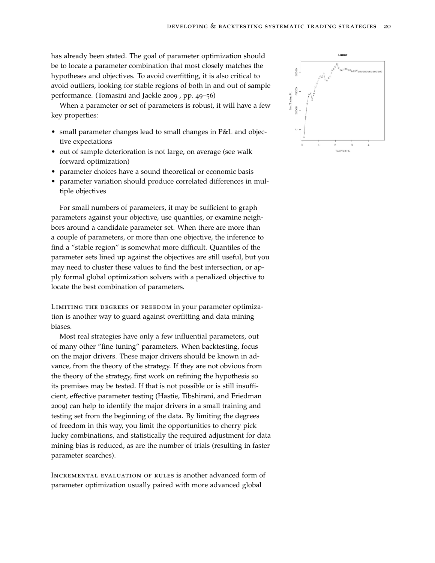has already been stated. The goal of parameter optimization should be to locate a parameter combination that most closely matches the hypotheses and objectives. To avoid overfitting, it is also critical to avoid outliers, looking for stable regions of both in and out of sample performance. (Tomasini and Jaekle 2009 , pp. 49–56)

When a parameter or set of parameters is robust, it will have a few key properties:

- small parameter changes lead to small changes in P&L and objective expectations
- out of sample deterioration is not large, on average (see walk forward optimization)
- parameter choices have a sound theoretical or economic basis
- parameter variation should produce correlated differences in multiple objectives

For small numbers of parameters, it may be sufficient to graph parameters against your objective, use quantiles, or examine neighbors around a candidate parameter set. When there are more than a couple of parameters, or more than one objective, the inference to find a "stable region" is somewhat more difficult. Quantiles of the parameter sets lined up against the objectives are still useful, but you may need to cluster these values to find the best intersection, or apply formal global optimization solvers with a penalized objective to locate the best combination of parameters.

LIMITING THE DEGREES OF FREEDOM in your parameter optimization is another way to guard against overfitting and data mining biases.

Most real strategies have only a few influential parameters, out of many other "fine tuning" parameters. When backtesting, focus on the major drivers. These major drivers should be known in advance, from the theory of the strategy. If they are not obvious from the theory of the strategy, first work on refining the hypothesis so its premises may be tested. If that is not possible or is still insufficient, effective parameter testing (Hastie, Tibshirani, and Friedman 2009) can help to identify the major drivers in a small training and testing set from the beginning of the data. By limiting the degrees of freedom in this way, you limit the opportunities to cherry pick lucky combinations, and statistically the required adjustment for data mining bias is reduced, as are the number of trials (resulting in faster parameter searches).

Incremental evaluation of rules is another advanced form of parameter optimization usually paired with more advanced global

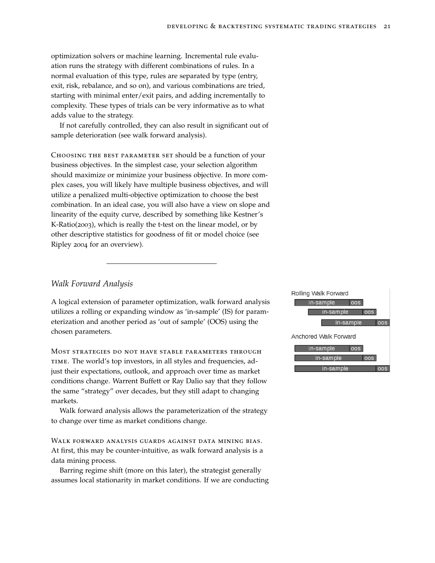optimization solvers or machine learning. Incremental rule evaluation runs the strategy with different combinations of rules. In a normal evaluation of this type, rules are separated by type (entry, exit, risk, rebalance, and so on), and various combinations are tried, starting with minimal enter/exit pairs, and adding incrementally to complexity. These types of trials can be very informative as to what adds value to the strategy.

If not carefully controlled, they can also result in significant out of sample deterioration (see walk forward analysis).

Choosing the best parameter set should be a function of your business objectives. In the simplest case, your selection algorithm should maximize or minimize your business objective. In more complex cases, you will likely have multiple business objectives, and will utilize a penalized multi-objective optimization to choose the best combination. In an ideal case, you will also have a view on slope and linearity of the equity curve, described by something like Kestner's K-Ratio(2003), which is really the t-test on the linear model, or by other descriptive statistics for goodness of fit or model choice (see Ripley 2004 for an overview).

#### *Walk Forward Analysis*

A logical extension of parameter optimization, walk forward analysis utilizes a rolling or expanding window as 'in-sample' (IS) for parameterization and another period as 'out of sample' (OOS) using the chosen parameters.

Most strategies do not have stable parameters through time. The world's top investors, in all styles and frequencies, adjust their expectations, outlook, and approach over time as market conditions change. Warrent Buffett or Ray Dalio say that they follow the same "strategy" over decades, but they still adapt to changing markets.

Walk forward analysis allows the parameterization of the strategy to change over time as market conditions change.

Walk forward analysis guards against data mining bias. At first, this may be counter-intuitive, as walk forward analysis is a data mining process.

Barring regime shift (more on this later), the strategist generally assumes local stationarity in market conditions. If we are conducting

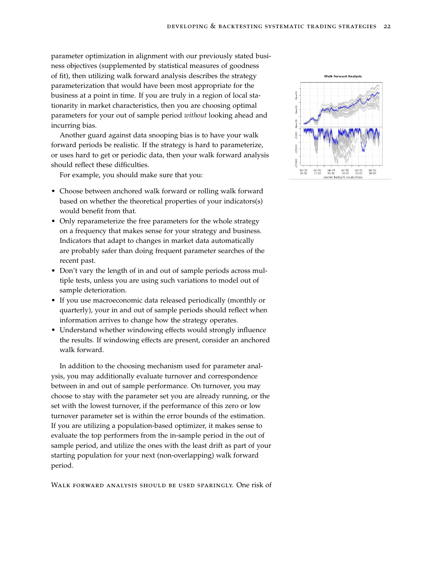parameter optimization in alignment with our previously stated business objectives (supplemented by statistical measures of goodness of fit), then utilizing walk forward analysis describes the strategy parameterization that would have been most appropriate for the business at a point in time. If you are truly in a region of local stationarity in market characteristics, then you are choosing optimal parameters for your out of sample period *without* looking ahead and incurring bias.

Another guard against data snooping bias is to have your walk forward periods be realistic. If the strategy is hard to parameterize, or uses hard to get or periodic data, then your walk forward analysis should reflect these difficulties.

For example, you should make sure that you:

- Choose between anchored walk forward or rolling walk forward based on whether the theoretical properties of your indicators(s) would benefit from that.
- Only reparameterize the free parameters for the whole strategy on a frequency that makes sense for your strategy and business. Indicators that adapt to changes in market data automatically are probably safer than doing frequent parameter searches of the recent past.
- Don't vary the length of in and out of sample periods across multiple tests, unless you are using such variations to model out of sample deterioration.
- If you use macroeconomic data released periodically (monthly or quarterly), your in and out of sample periods should reflect when information arrives to change how the strategy operates.
- Understand whether windowing effects would strongly influence the results. If windowing effects are present, consider an anchored walk forward.

In addition to the choosing mechanism used for parameter analysis, you may additionally evaluate turnover and correspondence between in and out of sample performance. On turnover, you may choose to stay with the parameter set you are already running, or the set with the lowest turnover, if the performance of this zero or low turnover parameter set is within the error bounds of the estimation. If you are utilizing a population-based optimizer, it makes sense to evaluate the top performers from the in-sample period in the out of sample period, and utilize the ones with the least drift as part of your starting population for your next (non-overlapping) walk forward period.

Walk forward analysis should be used sparingly. One risk of

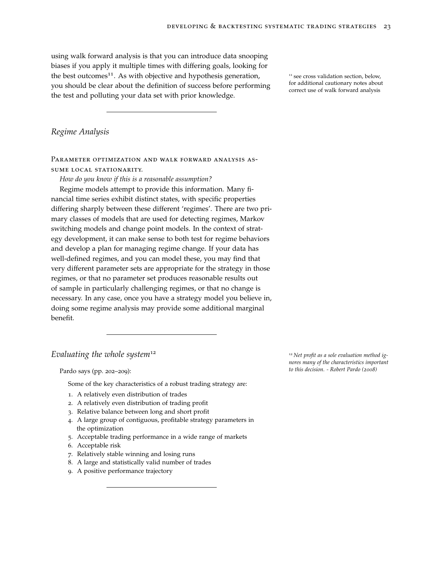using walk forward analysis is that you can introduce data snooping biases if you apply it multiple times with differing goals, looking for the best outcomes<sup>11</sup>. As with objective and hypothesis generation,  $11$  see cross validation section, below, you should be clear about the definition of success before performing the test and polluting your data set with prior knowledge.

for additional cautionary notes about correct use of walk forward analysis

# *Regime Analysis*

Parameter optimization and walk forward analysis assume local stationarity.

*How do you know if this is a reasonable assumption?*

Regime models attempt to provide this information. Many financial time series exhibit distinct states, with specific properties differing sharply between these different 'regimes'. There are two primary classes of models that are used for detecting regimes, Markov switching models and change point models. In the context of strategy development, it can make sense to both test for regime behaviors and develop a plan for managing regime change. If your data has well-defined regimes, and you can model these, you may find that very different parameter sets are appropriate for the strategy in those regimes, or that no parameter set produces reasonable results out of sample in particularly challenging regimes, or that no change is necessary. In any case, once you have a strategy model you believe in, doing some regime analysis may provide some additional marginal benefit.

#### *Evaluating the whole system*<sup>12</sup> 12 *Net profit as a sole evaluation method ig-*

Some of the key characteristics of a robust trading strategy are:

- 1. A relatively even distribution of trades
- 2. A relatively even distribution of trading profit
- 3. Relative balance between long and short profit
- 4. A large group of contiguous, profitable strategy parameters in the optimization
- 5. Acceptable trading performance in a wide range of markets
- 6. Acceptable risk
- 7. Relatively stable winning and losing runs
- 8. A large and statistically valid number of trades
- 9. A positive performance trajectory

*nores many of the characteristics important to this decision. - Robert Pardo (2008)* Pardo says (pp. 202–209):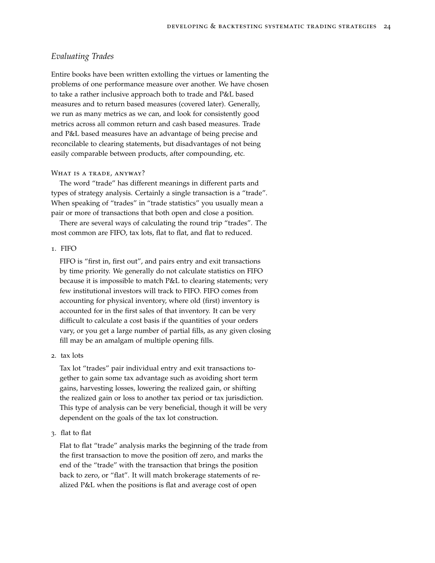# *Evaluating Trades*

Entire books have been written extolling the virtues or lamenting the problems of one performance measure over another. We have chosen to take a rather inclusive approach both to trade and P&L based measures and to return based measures (covered later). Generally, we run as many metrics as we can, and look for consistently good metrics across all common return and cash based measures. Trade and P&L based measures have an advantage of being precise and reconcilable to clearing statements, but disadvantages of not being easily comparable between products, after compounding, etc.

#### WHAT IS A TRADE, ANYWAY?

The word "trade" has different meanings in different parts and types of strategy analysis. Certainly a single transaction is a "trade". When speaking of "trades" in "trade statistics" you usually mean a pair or more of transactions that both open and close a position.

There are several ways of calculating the round trip "trades". The most common are FIFO, tax lots, flat to flat, and flat to reduced.

#### 1. FIFO

FIFO is "first in, first out", and pairs entry and exit transactions by time priority. We generally do not calculate statistics on FIFO because it is impossible to match P&L to clearing statements; very few institutional investors will track to FIFO. FIFO comes from accounting for physical inventory, where old (first) inventory is accounted for in the first sales of that inventory. It can be very difficult to calculate a cost basis if the quantities of your orders vary, or you get a large number of partial fills, as any given closing fill may be an amalgam of multiple opening fills.

2. tax lots

Tax lot "trades" pair individual entry and exit transactions together to gain some tax advantage such as avoiding short term gains, harvesting losses, lowering the realized gain, or shifting the realized gain or loss to another tax period or tax jurisdiction. This type of analysis can be very beneficial, though it will be very dependent on the goals of the tax lot construction.

3. flat to flat

Flat to flat "trade" analysis marks the beginning of the trade from the first transaction to move the position off zero, and marks the end of the "trade" with the transaction that brings the position back to zero, or "flat". It will match brokerage statements of realized P&L when the positions is flat and average cost of open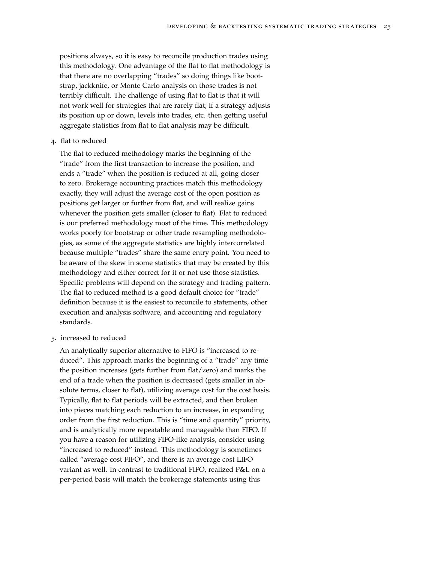positions always, so it is easy to reconcile production trades using this methodology. One advantage of the flat to flat methodology is that there are no overlapping "trades" so doing things like bootstrap, jackknife, or Monte Carlo analysis on those trades is not terribly difficult. The challenge of using flat to flat is that it will not work well for strategies that are rarely flat; if a strategy adjusts its position up or down, levels into trades, etc. then getting useful aggregate statistics from flat to flat analysis may be difficult.

4. flat to reduced

The flat to reduced methodology marks the beginning of the "trade" from the first transaction to increase the position, and ends a "trade" when the position is reduced at all, going closer to zero. Brokerage accounting practices match this methodology exactly, they will adjust the average cost of the open position as positions get larger or further from flat, and will realize gains whenever the position gets smaller (closer to flat). Flat to reduced is our preferred methodology most of the time. This methodology works poorly for bootstrap or other trade resampling methodologies, as some of the aggregate statistics are highly intercorrelated because multiple "trades" share the same entry point. You need to be aware of the skew in some statistics that may be created by this methodology and either correct for it or not use those statistics. Specific problems will depend on the strategy and trading pattern. The flat to reduced method is a good default choice for "trade" definition because it is the easiest to reconcile to statements, other execution and analysis software, and accounting and regulatory standards.

5. increased to reduced

An analytically superior alternative to FIFO is "increased to reduced". This approach marks the beginning of a "trade" any time the position increases (gets further from flat/zero) and marks the end of a trade when the position is decreased (gets smaller in absolute terms, closer to flat), utilizing average cost for the cost basis. Typically, flat to flat periods will be extracted, and then broken into pieces matching each reduction to an increase, in expanding order from the first reduction. This is "time and quantity" priority, and is analytically more repeatable and manageable than FIFO. If you have a reason for utilizing FIFO-like analysis, consider using "increased to reduced" instead. This methodology is sometimes called "average cost FIFO", and there is an average cost LIFO variant as well. In contrast to traditional FIFO, realized P&L on a per-period basis will match the brokerage statements using this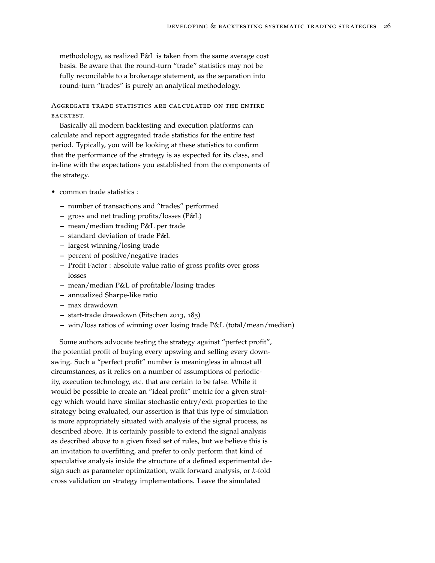methodology, as realized P&L is taken from the same average cost basis. Be aware that the round-turn "trade" statistics may not be fully reconcilable to a brokerage statement, as the separation into round-turn "trades" is purely an analytical methodology.

Aggregate trade statistics are calculated on the entire backtest.

Basically all modern backtesting and execution platforms can calculate and report aggregated trade statistics for the entire test period. Typically, you will be looking at these statistics to confirm that the performance of the strategy is as expected for its class, and in-line with the expectations you established from the components of the strategy.

- common trade statistics :
	- **–** number of transactions and "trades" performed
	- **–** gross and net trading profits/losses (P&L)
	- **–** mean/median trading P&L per trade
	- **–** standard deviation of trade P&L
	- **–** largest winning/losing trade
	- **–** percent of positive/negative trades
	- **–** Profit Factor : absolute value ratio of gross profits over gross losses
	- **–** mean/median P&L of profitable/losing trades
	- **–** annualized Sharpe-like ratio
	- **–** max drawdown
	- **–** start-trade drawdown (Fitschen 2013, 185)
	- **–** win/loss ratios of winning over losing trade P&L (total/mean/median)

Some authors advocate testing the strategy against "perfect profit", the potential profit of buying every upswing and selling every downswing. Such a "perfect profit" number is meaningless in almost all circumstances, as it relies on a number of assumptions of periodicity, execution technology, etc. that are certain to be false. While it would be possible to create an "ideal profit" metric for a given strategy which would have similar stochastic entry/exit properties to the strategy being evaluated, our assertion is that this type of simulation is more appropriately situated with analysis of the signal process, as described above. It is certainly possible to extend the signal analysis as described above to a given fixed set of rules, but we believe this is an invitation to overfitting, and prefer to only perform that kind of speculative analysis inside the structure of a defined experimental design such as parameter optimization, walk forward analysis, or *k*-fold cross validation on strategy implementations. Leave the simulated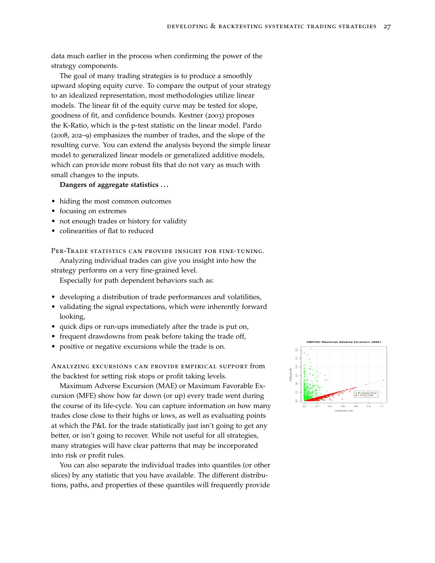data much earlier in the process when confirming the power of the strategy components.

The goal of many trading strategies is to produce a smoothly upward sloping equity curve. To compare the output of your strategy to an idealized representation, most methodologies utilize linear models. The linear fit of the equity curve may be tested for slope, goodness of fit, and confidence bounds. Kestner (2003) proposes the K-Ratio, which is the p-test statistic on the linear model. Pardo (2008, 202–9) emphasizes the number of trades, and the slope of the resulting curve. You can extend the analysis beyond the simple linear model to generalized linear models or generalized additive models, which can provide more robust fits that do not vary as much with small changes to the inputs.

## **Dangers of aggregate statistics . . .**

- hiding the most common outcomes
- focusing on extremes
- not enough trades or history for validity
- colinearities of flat to reduced

PER-TRADE STATISTICS CAN PROVIDE INSIGHT FOR FINE-TUNING.

Analyzing individual trades can give you insight into how the

strategy performs on a very fine-grained level.

Especially for path dependent behaviors such as:

- developing a distribution of trade performances and volatilities,
- validating the signal expectations, which were inherently forward looking,
- quick dips or run-ups immediately after the trade is put on,
- frequent drawdowns from peak before taking the trade off,
- positive or negative excursions while the trade is on.

Analyzing excursions can provide empirical support from the backtest for setting risk stops or profit taking levels.

Maximum Adverse Excursion (MAE) or Maximum Favorable Excursion (MFE) show how far down (or up) every trade went during the course of its life-cycle. You can capture information on how many trades close close to their highs or lows, as well as evaluating points at which the P&L for the trade statistically just isn't going to get any better, or isn't going to recover. While not useful for all strategies, many strategies will have clear patterns that may be incorporated into risk or profit rules.

You can also separate the individual trades into quantiles (or other slices) by any statistic that you have available. The different distributions, paths, and properties of these quantiles will frequently provide

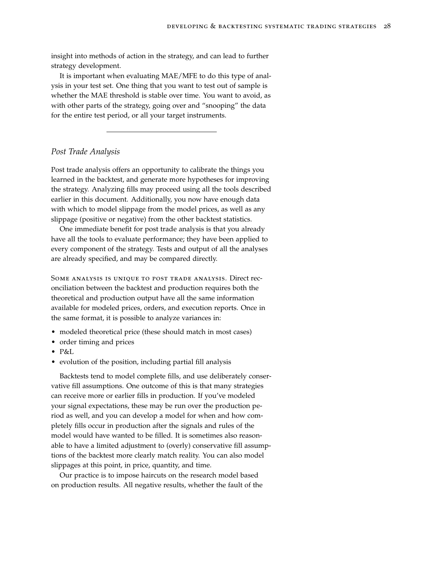insight into methods of action in the strategy, and can lead to further strategy development.

It is important when evaluating MAE/MFE to do this type of analysis in your test set. One thing that you want to test out of sample is whether the MAE threshold is stable over time. You want to avoid, as with other parts of the strategy, going over and "snooping" the data for the entire test period, or all your target instruments.

## *Post Trade Analysis*

Post trade analysis offers an opportunity to calibrate the things you learned in the backtest, and generate more hypotheses for improving the strategy. Analyzing fills may proceed using all the tools described earlier in this document. Additionally, you now have enough data with which to model slippage from the model prices, as well as any slippage (positive or negative) from the other backtest statistics.

One immediate benefit for post trade analysis is that you already have all the tools to evaluate performance; they have been applied to every component of the strategy. Tests and output of all the analyses are already specified, and may be compared directly.

Some analysis is unique to post trade analysis. Direct reconciliation between the backtest and production requires both the theoretical and production output have all the same information available for modeled prices, orders, and execution reports. Once in the same format, it is possible to analyze variances in:

- modeled theoretical price (these should match in most cases)
- order timing and prices
- P&L
- evolution of the position, including partial fill analysis

Backtests tend to model complete fills, and use deliberately conservative fill assumptions. One outcome of this is that many strategies can receive more or earlier fills in production. If you've modeled your signal expectations, these may be run over the production period as well, and you can develop a model for when and how completely fills occur in production after the signals and rules of the model would have wanted to be filled. It is sometimes also reasonable to have a limited adjustment to (overly) conservative fill assumptions of the backtest more clearly match reality. You can also model slippages at this point, in price, quantity, and time.

Our practice is to impose haircuts on the research model based on production results. All negative results, whether the fault of the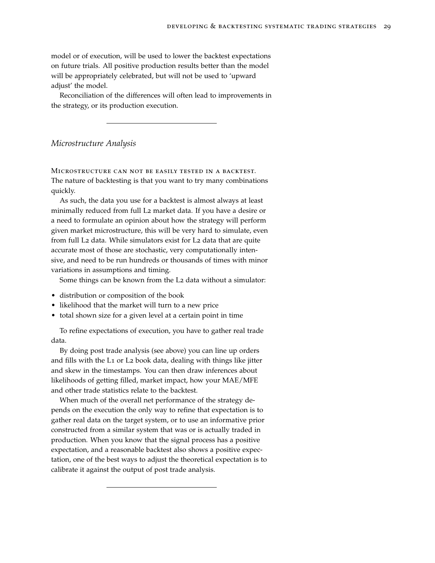model or of execution, will be used to lower the backtest expectations on future trials. All positive production results better than the model will be appropriately celebrated, but will not be used to 'upward adjust' the model.

Reconciliation of the differences will often lead to improvements in the strategy, or its production execution.

#### *Microstructure Analysis*

Microstructure can not be easily tested in a backtest. The nature of backtesting is that you want to try many combinations quickly.

As such, the data you use for a backtest is almost always at least minimally reduced from full L2 market data. If you have a desire or a need to formulate an opinion about how the strategy will perform given market microstructure, this will be very hard to simulate, even from full L2 data. While simulators exist for L2 data that are quite accurate most of those are stochastic, very computationally intensive, and need to be run hundreds or thousands of times with minor variations in assumptions and timing.

Some things can be known from the L2 data without a simulator:

- distribution or composition of the book
- likelihood that the market will turn to a new price
- total shown size for a given level at a certain point in time

To refine expectations of execution, you have to gather real trade data.

By doing post trade analysis (see above) you can line up orders and fills with the L1 or L2 book data, dealing with things like jitter and skew in the timestamps. You can then draw inferences about likelihoods of getting filled, market impact, how your MAE/MFE and other trade statistics relate to the backtest.

When much of the overall net performance of the strategy depends on the execution the only way to refine that expectation is to gather real data on the target system, or to use an informative prior constructed from a similar system that was or is actually traded in production. When you know that the signal process has a positive expectation, and a reasonable backtest also shows a positive expectation, one of the best ways to adjust the theoretical expectation is to calibrate it against the output of post trade analysis.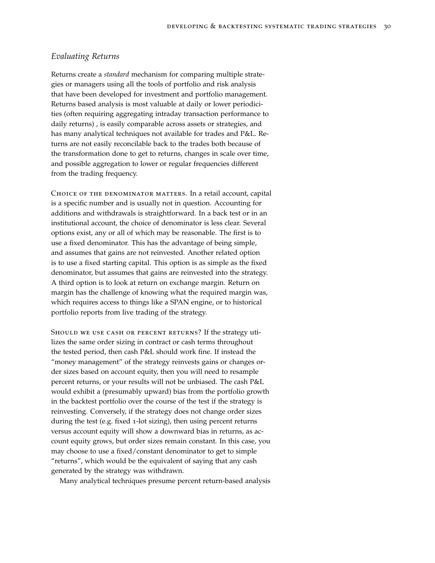# *Evaluating Returns*

Returns create a *standard* mechanism for comparing multiple strategies or managers using all the tools of portfolio and risk analysis that have been developed for investment and portfolio management. Returns based analysis is most valuable at daily or lower periodicities (often requiring aggregating intraday transaction performance to daily returns) , is easily comparable across assets or strategies, and has many analytical techniques not available for trades and P&L. Returns are not easily reconcilable back to the trades both because of the transformation done to get to returns, changes in scale over time, and possible aggregation to lower or regular frequencies different from the trading frequency.

CHOICE OF THE DENOMINATOR MATTERS. In a retail account, capital is a specific number and is usually not in question. Accounting for additions and withdrawals is straightforward. In a back test or in an institutional account, the choice of denominator is less clear. Several options exist, any or all of which may be reasonable. The first is to use a fixed denominator. This has the advantage of being simple, and assumes that gains are not reinvested. Another related option is to use a fixed starting capital. This option is as simple as the fixed denominator, but assumes that gains are reinvested into the strategy. A third option is to look at return on exchange margin. Return on margin has the challenge of knowing what the required margin was, which requires access to things like a SPAN engine, or to historical portfolio reports from live trading of the strategy.

SHOULD WE USE CASH OR PERCENT RETURNS? If the strategy utilizes the same order sizing in contract or cash terms throughout the tested period, then cash P&L should work fine. If instead the "money management" of the strategy reinvests gains or changes order sizes based on account equity, then you will need to resample percent returns, or your results will not be unbiased. The cash P&L would exhibit a (presumably upward) bias from the portfolio growth in the backtest portfolio over the course of the test if the strategy is reinvesting. Conversely, if the strategy does not change order sizes during the test (e.g. fixed 1-lot sizing), then using percent returns versus account equity will show a downward bias in returns, as account equity grows, but order sizes remain constant. In this case, you may choose to use a fixed/constant denominator to get to simple "returns", which would be the equivalent of saying that any cash generated by the strategy was withdrawn.

Many analytical techniques presume percent return-based analysis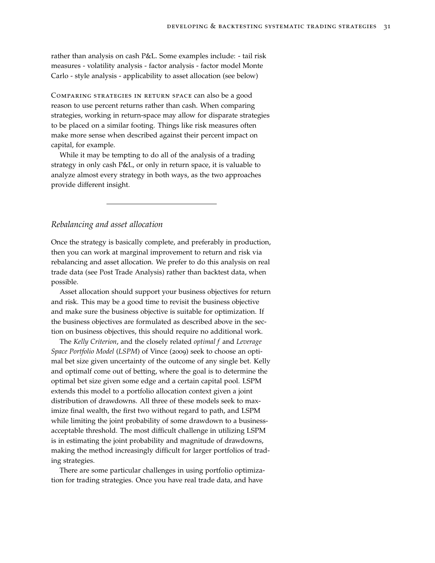rather than analysis on cash P&L. Some examples include: - tail risk measures - volatility analysis - factor analysis - factor model Monte Carlo - style analysis - applicability to asset allocation (see below)

Comparing strategies in return space can also be a good reason to use percent returns rather than cash. When comparing strategies, working in return-space may allow for disparate strategies to be placed on a similar footing. Things like risk measures often make more sense when described against their percent impact on capital, for example.

While it may be tempting to do all of the analysis of a trading strategy in only cash P&L, or only in return space, it is valuable to analyze almost every strategy in both ways, as the two approaches provide different insight.

*Rebalancing and asset allocation*

Once the strategy is basically complete, and preferably in production, then you can work at marginal improvement to return and risk via rebalancing and asset allocation. We prefer to do this analysis on real trade data (see Post Trade Analysis) rather than backtest data, when possible.

Asset allocation should support your business objectives for return and risk. This may be a good time to revisit the business objective and make sure the business objective is suitable for optimization. If the business objectives are formulated as described above in the section on business objectives, this should require no additional work.

The *Kelly Criterion*, and the closely related *optimal f* and *Leverage Space Portfolio Model* (*LSPM*) of Vince (2009) seek to choose an optimal bet size given uncertainty of the outcome of any single bet. Kelly and optimalf come out of betting, where the goal is to determine the optimal bet size given some edge and a certain capital pool. LSPM extends this model to a portfolio allocation context given a joint distribution of drawdowns. All three of these models seek to maximize final wealth, the first two without regard to path, and LSPM while limiting the joint probability of some drawdown to a businessacceptable threshold. The most difficult challenge in utilizing LSPM is in estimating the joint probability and magnitude of drawdowns, making the method increasingly difficult for larger portfolios of trading strategies.

There are some particular challenges in using portfolio optimization for trading strategies. Once you have real trade data, and have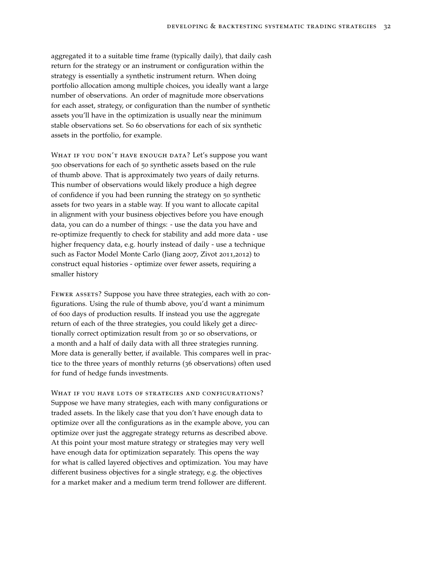aggregated it to a suitable time frame (typically daily), that daily cash return for the strategy or an instrument or configuration within the strategy is essentially a synthetic instrument return. When doing portfolio allocation among multiple choices, you ideally want a large number of observations. An order of magnitude more observations for each asset, strategy, or configuration than the number of synthetic assets you'll have in the optimization is usually near the minimum stable observations set. So 60 observations for each of six synthetic assets in the portfolio, for example.

WHAT IF YOU DON'T HAVE ENOUGH DATA? Let's suppose you want 500 observations for each of 50 synthetic assets based on the rule of thumb above. That is approximately two years of daily returns. This number of observations would likely produce a high degree of confidence if you had been running the strategy on 50 synthetic assets for two years in a stable way. If you want to allocate capital in alignment with your business objectives before you have enough data, you can do a number of things: - use the data you have and re-optimize frequently to check for stability and add more data - use higher frequency data, e.g. hourly instead of daily - use a technique such as Factor Model Monte Carlo (Jiang 2007, Zivot 2011,2012) to construct equal histories - optimize over fewer assets, requiring a smaller history

FEWER ASSETS? Suppose you have three strategies, each with 20 configurations. Using the rule of thumb above, you'd want a minimum of 600 days of production results. If instead you use the aggregate return of each of the three strategies, you could likely get a directionally correct optimization result from 30 or so observations, or a month and a half of daily data with all three strategies running. More data is generally better, if available. This compares well in practice to the three years of monthly returns (36 observations) often used for fund of hedge funds investments.

WHAT IF YOU HAVE LOTS OF STRATEGIES AND CONFIGURATIONS? Suppose we have many strategies, each with many configurations or traded assets. In the likely case that you don't have enough data to optimize over all the configurations as in the example above, you can optimize over just the aggregate strategy returns as described above. At this point your most mature strategy or strategies may very well have enough data for optimization separately. This opens the way for what is called layered objectives and optimization. You may have different business objectives for a single strategy, e.g. the objectives for a market maker and a medium term trend follower are different.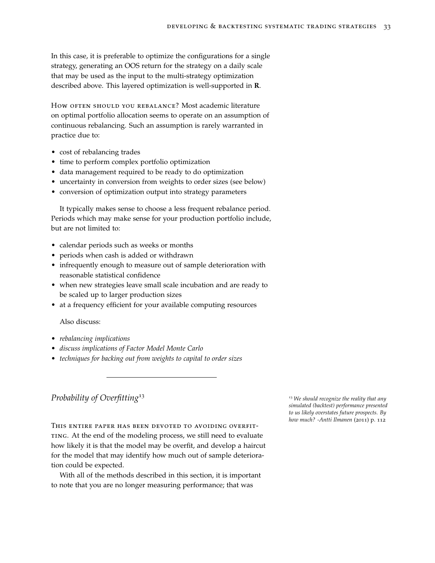In this case, it is preferable to optimize the configurations for a single strategy, generating an OOS return for the strategy on a daily scale that may be used as the input to the multi-strategy optimization described above. This layered optimization is well-supported in **R**.

How OFTEN SHOULD YOU REBALANCE? Most academic literature on optimal portfolio allocation seems to operate on an assumption of continuous rebalancing. Such an assumption is rarely warranted in practice due to:

- cost of rebalancing trades
- time to perform complex portfolio optimization
- data management required to be ready to do optimization
- uncertainty in conversion from weights to order sizes (see below)
- conversion of optimization output into strategy parameters

It typically makes sense to choose a less frequent rebalance period. Periods which may make sense for your production portfolio include, but are not limited to:

- calendar periods such as weeks or months
- periods when cash is added or withdrawn
- infrequently enough to measure out of sample deterioration with reasonable statistical confidence
- when new strategies leave small scale incubation and are ready to be scaled up to larger production sizes
- at a frequency efficient for your available computing resources

#### Also discuss:

- *rebalancing implications*
- *discuss implications of Factor Model Monte Carlo*
- *techniques for backing out from weights to capital to order sizes*

# *Probability of Overfitting*<sup>13</sup> <sup>13</sup> *We should recognize the reality that any*

This entire paper has been devoted to avoiding overfitting. At the end of the modeling process, we still need to evaluate how likely it is that the model may be overfit, and develop a haircut for the model that may identify how much out of sample deterioration could be expected.

With all of the methods described in this section, it is important to note that you are no longer measuring performance; that was

*simulated (backtest) performance presented to us likely overstates future prospects. By how much? -Antti Ilmanen* (2011) p. 112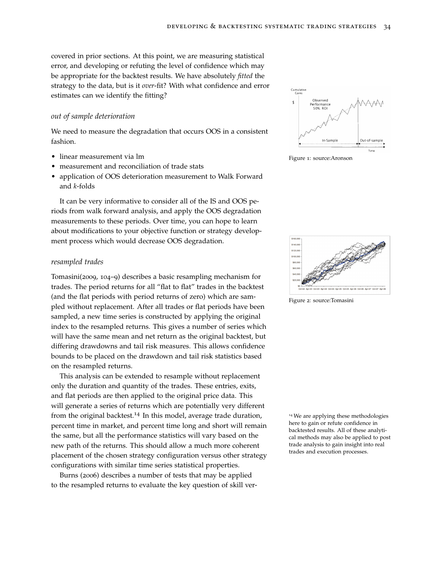covered in prior sections. At this point, we are measuring statistical error, and developing or refuting the level of confidence which may be appropriate for the backtest results. We have absolutely *fitted* the strategy to the data, but is it *over*-fit? With what confidence and error estimates can we identify the fitting?

#### *out of sample deterioration*

We need to measure the degradation that occurs OOS in a consistent fashion.

- linear measurement via lm
- measurement and reconciliation of trade stats
- application of OOS deterioration measurement to Walk Forward and *k*-folds

It can be very informative to consider all of the IS and OOS periods from walk forward analysis, and apply the OOS degradation measurements to these periods. Over time, you can hope to learn about modifications to your objective function or strategy development process which would decrease OOS degradation.

#### *resampled trades*

Tomasini(2009, 104–9) describes a basic resampling mechanism for trades. The period returns for all "flat to flat" trades in the backtest (and the flat periods with period returns of zero) which are sampled without replacement. After all trades or flat periods have been sampled, a new time series is constructed by applying the original index to the resampled returns. This gives a number of series which will have the same mean and net return as the original backtest, but differing drawdowns and tail risk measures. This allows confidence bounds to be placed on the drawdown and tail risk statistics based on the resampled returns.

This analysis can be extended to resample without replacement only the duration and quantity of the trades. These entries, exits, and flat periods are then applied to the original price data. This will generate a series of returns which are potentially very different from the original backtest.<sup>14</sup> In this model, average trade duration, <sup>14</sup> We are applying these methodologies percent time in market, and percent time long and short will remain the same, but all the performance statistics will vary based on the new path of the returns. This should allow a much more coherent placement of the chosen strategy configuration versus other strategy configurations with similar time series statistical properties.

Burns (2006) describes a number of tests that may be applied to the resampled returns to evaluate the key question of skill ver-



Figure 1: source:Aronson



Figure 2: source:Tomasini

here to gain or refute confidence in backtested results. All of these analytical methods may also be applied to post trade analysis to gain insight into real trades and execution processes.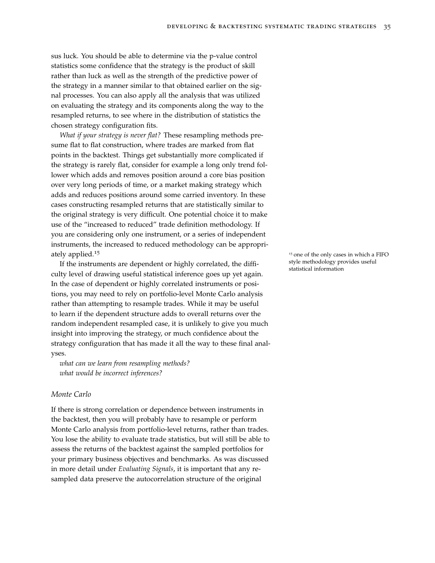sus luck. You should be able to determine via the p-value control statistics some confidence that the strategy is the product of skill rather than luck as well as the strength of the predictive power of the strategy in a manner similar to that obtained earlier on the signal processes. You can also apply all the analysis that was utilized on evaluating the strategy and its components along the way to the resampled returns, to see where in the distribution of statistics the chosen strategy configuration fits.

*What if your strategy is never flat?* These resampling methods presume flat to flat construction, where trades are marked from flat points in the backtest. Things get substantially more complicated if the strategy is rarely flat, consider for example a long only trend follower which adds and removes position around a core bias position over very long periods of time, or a market making strategy which adds and reduces positions around some carried inventory. In these cases constructing resampled returns that are statistically similar to the original strategy is very difficult. One potential choice it to make use of the "increased to reduced" trade definition methodology. If you are considering only one instrument, or a series of independent instruments, the increased to reduced methodology can be appropriately applied.<sup>15</sup> at a FIFO 15 one of the only cases in which a FIFO

If the instruments are dependent or highly correlated, the difficulty level of drawing useful statistical inference goes up yet again. In the case of dependent or highly correlated instruments or positions, you may need to rely on portfolio-level Monte Carlo analysis rather than attempting to resample trades. While it may be useful to learn if the dependent structure adds to overall returns over the random independent resampled case, it is unlikely to give you much insight into improving the strategy, or much confidence about the strategy configuration that has made it all the way to these final analyses.

*what can we learn from resampling methods? what would be incorrect inferences?*

#### *Monte Carlo*

If there is strong correlation or dependence between instruments in the backtest, then you will probably have to resample or perform Monte Carlo analysis from portfolio-level returns, rather than trades. You lose the ability to evaluate trade statistics, but will still be able to assess the returns of the backtest against the sampled portfolios for your primary business objectives and benchmarks. As was discussed in more detail under *Evaluating Signals*, it is important that any resampled data preserve the autocorrelation structure of the original

style methodology provides useful statistical information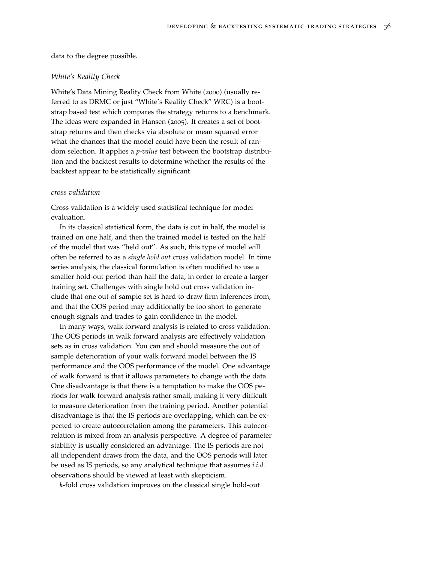data to the degree possible.

#### *White's Reality Check*

White's Data Mining Reality Check from White (2000) (usually referred to as DRMC or just "White's Reality Check" WRC) is a bootstrap based test which compares the strategy returns to a benchmark. The ideas were expanded in Hansen (2005). It creates a set of bootstrap returns and then checks via absolute or mean squared error what the chances that the model could have been the result of random selection. It applies a *p-value* test between the bootstrap distribution and the backtest results to determine whether the results of the backtest appear to be statistically significant.

#### *cross validation*

Cross validation is a widely used statistical technique for model evaluation.

In its classical statistical form, the data is cut in half, the model is trained on one half, and then the trained model is tested on the half of the model that was "held out". As such, this type of model will often be referred to as a *single hold out* cross validation model. In time series analysis, the classical formulation is often modified to use a smaller hold-out period than half the data, in order to create a larger training set. Challenges with single hold out cross validation include that one out of sample set is hard to draw firm inferences from, and that the OOS period may additionally be too short to generate enough signals and trades to gain confidence in the model.

In many ways, walk forward analysis is related to cross validation. The OOS periods in walk forward analysis are effectively validation sets as in cross validation. You can and should measure the out of sample deterioration of your walk forward model between the IS performance and the OOS performance of the model. One advantage of walk forward is that it allows parameters to change with the data. One disadvantage is that there is a temptation to make the OOS periods for walk forward analysis rather small, making it very difficult to measure deterioration from the training period. Another potential disadvantage is that the IS periods are overlapping, which can be expected to create autocorrelation among the parameters. This autocorrelation is mixed from an analysis perspective. A degree of parameter stability is usually considered an advantage. The IS periods are not all independent draws from the data, and the OOS periods will later be used as IS periods, so any analytical technique that assumes *i.i.d.* observations should be viewed at least with skepticism.

*k*-fold cross validation improves on the classical single hold-out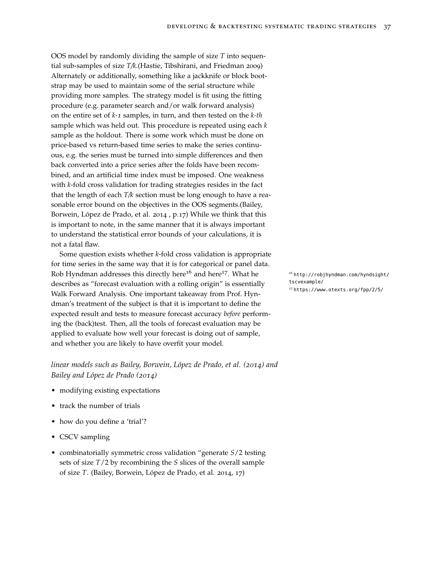OOS model by randomly dividing the sample of size *T* into sequential sub-samples of size *T/k*.(Hastie, Tibshirani, and Friedman 2009) Alternately or additionally, something like a jackknife or block bootstrap may be used to maintain some of the serial structure while providing more samples. The strategy model is fit using the fitting procedure (e.g. parameter search and/or walk forward analysis) on the entire set of *k-1* samples, in turn, and then tested on the *k-th* sample which was held out. This procedure is repeated using each *k* sample as the holdout. There is some work which must be done on price-based vs return-based time series to make the series continuous, e.g. the series must be turned into simple differences and then back converted into a price series after the folds have been recombined, and an artificial time index must be imposed. One weakness with *k*-fold cross validation for trading strategies resides in the fact that the length of each *T/k* section must be long enough to have a reasonable error bound on the objectives in the OOS segments.(Bailey, Borwein, López de Prado, et al. 2014 , p.17) While we think that this is important to note, in the same manner that it is always important to understand the statistical error bounds of your calculations, it is not a fatal flaw.

Some question exists whether *k*-fold cross validation is appropriate for time series in the same way that it is for categorical or panel data. Rob Hyndman addresses this directly here<sup>16</sup> and here<sup>17</sup>. What he <sup>16</sup> [http://robjhyndman.com/hyndsight/](http://robjhyndman.com/hyndsight/tscvexample/) describes as "forecast evaluation with a rolling origin" is essentially Walk Forward Analysis. One important takeaway from Prof. Hyndman's treatment of the subject is that it is important to define the expected result and tests to measure forecast accuracy *before* performing the (back)test. Then, all the tools of forecast evaluation may be applied to evaluate how well your forecast is doing out of sample, and whether you are likely to have overfit your model.

*linear models such as Bailey, Borwein, López de Prado, et al. (2014) and Bailey and López de Prado (2014)*

- modifying existing expectations
- track the number of trials
- how do you define a 'trial'?
- CSCV sampling
- combinatorially symmetric cross validation "generate *S*/2 testing sets of size *T*/2 by recombining the *S* slices of the overall sample of size *T*. (Bailey, Borwein, López de Prado, et al. 2014, 17)

[tscvexample/](http://robjhyndman.com/hyndsight/tscvexample/) <sup>17</sup> <https://www.otexts.org/fpp/2/5/>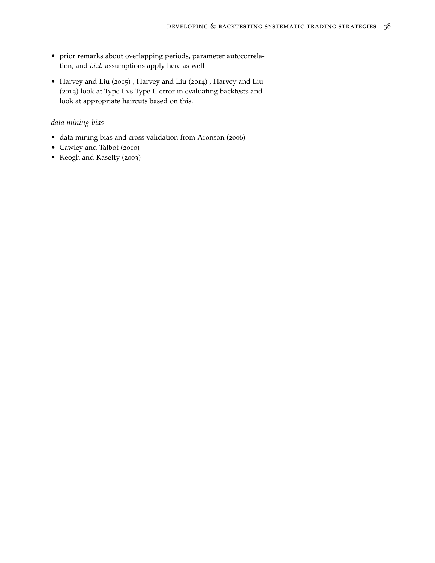- prior remarks about overlapping periods, parameter autocorrelation, and *i.i.d.* assumptions apply here as well
- Harvey and Liu (2015) , Harvey and Liu (2014) , Harvey and Liu (2013) look at Type I vs Type II error in evaluating backtests and look at appropriate haircuts based on this.

# *data mining bias*

- data mining bias and cross validation from Aronson (2006)
- Cawley and Talbot (2010)
- Keogh and Kasetty (2003)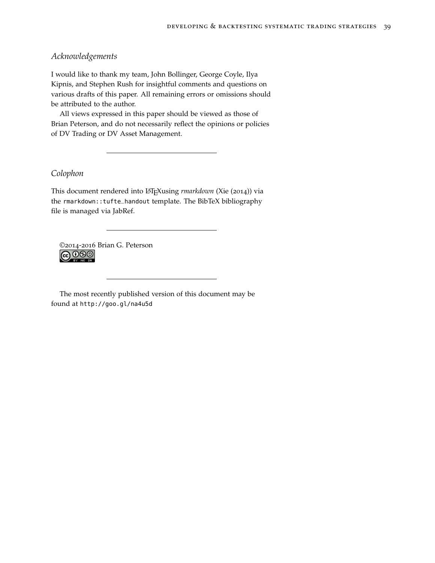# *Acknowledgements*

I would like to thank my team, John Bollinger, George Coyle, Ilya Kipnis, and Stephen Rush for insightful comments and questions on various drafts of this paper. All remaining errors or omissions should be attributed to the author.

All views expressed in this paper should be viewed as those of Brian Peterson, and do not necessarily reflect the opinions or policies of DV Trading or DV Asset Management.

# *Colophon*

This document rendered into LATEXusing *rmarkdown* (Xie (2014)) via the rmarkdown::tufte\_handout template. The BibTeX bibliography file is managed via [JabRef.](http://jabref.sourceforge.net/)

©2014-2016 Brian G. Peterson **@** 000

The most recently published version of this document may be found at <http://goo.gl/na4u5d>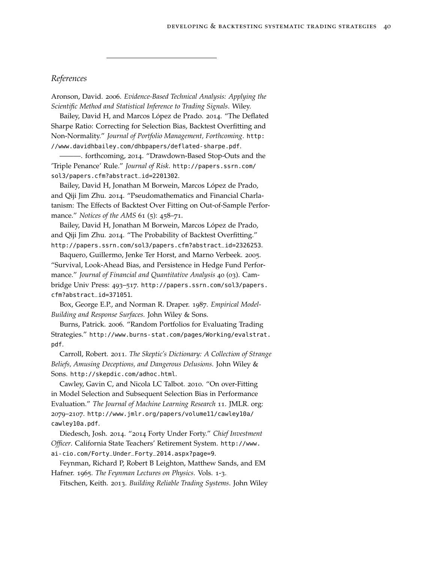# *References*

Aronson, David. 2006. *Evidence-Based Technical Analysis: Applying the Scientific Method and Statistical Inference to Trading Signals*. Wiley.

Bailey, David H, and Marcos López de Prado. 2014. "The Deflated Sharpe Ratio: Correcting for Selection Bias, Backtest Overfitting and Non-Normality." *Journal of Portfolio Management, Forthcoming*. [http:](http://www.davidhbailey.com/dhbpapers/deflated-sharpe.pdf) [//www.davidhbailey.com/dhbpapers/deflated-sharpe.pdf](http://www.davidhbailey.com/dhbpapers/deflated-sharpe.pdf).

———. forthcoming, 2014. "Drawdown-Based Stop-Outs and the 'Triple Penance' Rule." *Journal of Risk*. [http://papers.ssrn.com/](http://papers.ssrn.com/sol3/papers.cfm?abstract_id=2201302) [sol3/papers.cfm?abstract\\_id=2201302](http://papers.ssrn.com/sol3/papers.cfm?abstract_id=2201302).

Bailey, David H, Jonathan M Borwein, Marcos López de Prado, and Qiji Jim Zhu. 2014. "Pseudomathematics and Financial Charlatanism: The Effects of Backtest Over Fitting on Out-of-Sample Performance." *Notices of the AMS* 61 (5): 458–71.

Bailey, David H, Jonathan M Borwein, Marcos López de Prado, and Qiji Jim Zhu. 2014. "The Probability of Backtest Overfitting." [http://papers.ssrn.com/sol3/papers.cfm?abstract\\_id=2326253](http://papers.ssrn.com/sol3/papers.cfm?abstract_id=2326253).

Baquero, Guillermo, Jenke Ter Horst, and Marno Verbeek. 2005. "Survival, Look-Ahead Bias, and Persistence in Hedge Fund Performance." *Journal of Financial and Quantitative Analysis* 40 (03). Cambridge Univ Press: 493–517. [http://papers.ssrn.com/sol3/papers.](http://papers.ssrn.com/sol3/papers.cfm?abstract_id=371051) [cfm?abstract\\_id=371051](http://papers.ssrn.com/sol3/papers.cfm?abstract_id=371051).

Box, George E.P., and Norman R. Draper. 1987. *Empirical Model-Building and Response Surfaces.* John Wiley & Sons.

Burns, Patrick. 2006. "Random Portfolios for Evaluating Trading Strategies." [http://www.burns-stat.com/pages/Working/evalstrat.](http://www.burns-stat.com/pages/Working/evalstrat.pdf) [pdf](http://www.burns-stat.com/pages/Working/evalstrat.pdf).

Carroll, Robert. 2011. *The Skeptic's Dictionary: A Collection of Strange Beliefs, Amusing Deceptions, and Dangerous Delusions*. John Wiley & Sons. <http://skepdic.com/adhoc.html>.

Cawley, Gavin C, and Nicola LC Talbot. 2010. "On over-Fitting in Model Selection and Subsequent Selection Bias in Performance Evaluation." *The Journal of Machine Learning Research* 11. JMLR. org: 2079–2107. [http://www.jmlr.org/papers/volume11/cawley10a/](http://www.jmlr.org/papers/volume11/cawley10a/cawley10a.pdf) [cawley10a.pdf](http://www.jmlr.org/papers/volume11/cawley10a/cawley10a.pdf).

Diedesch, Josh. 2014. "2014 Forty Under Forty." *Chief Investment Officer*. California State Teachers' Retirement System. [http://www.](http://www.ai-cio.com/Forty_Under_Forty_2014.aspx?page=9) [ai-cio.com/Forty\\_Under\\_Forty\\_2014.aspx?page=9](http://www.ai-cio.com/Forty_Under_Forty_2014.aspx?page=9).

Feynman, Richard P, Robert B Leighton, Matthew Sands, and EM Hafner. 1965. *The Feynman Lectures on Physics*. Vols. 1-3.

Fitschen, Keith. 2013. *Building Reliable Trading Systems*. John Wiley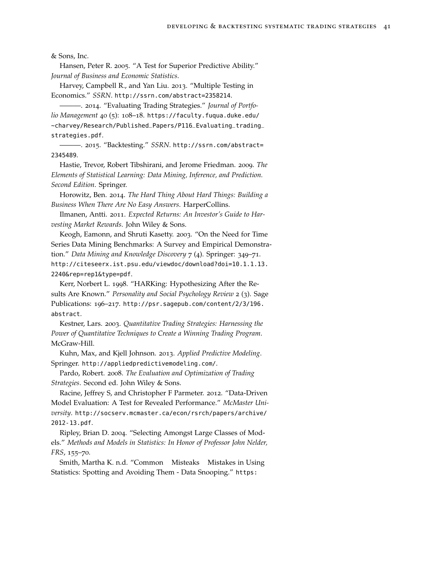& Sons, Inc.

Hansen, Peter R. 2005. "A Test for Superior Predictive Ability." *Journal of Business and Economic Statistics*.

Harvey, Campbell R., and Yan Liu. 2013. "Multiple Testing in Economics." *SSRN*. <http://ssrn.com/abstract=2358214>.

———. 2014. "Evaluating Trading Strategies." *Journal of Portfolio Management* 40 (5): 108–18. [https://faculty.fuqua.duke.edu/](https://faculty.fuqua.duke.edu/~charvey/Research/Published_Papers/P116_Evaluating_trading_strategies.pdf) [~charvey/Research/Published\\_Papers/P116\\_Evaluating\\_trading\\_](https://faculty.fuqua.duke.edu/~charvey/Research/Published_Papers/P116_Evaluating_trading_strategies.pdf) [strategies.pdf](https://faculty.fuqua.duke.edu/~charvey/Research/Published_Papers/P116_Evaluating_trading_strategies.pdf).

———. 2015. "Backtesting." *SSRN*. [http://ssrn.com/abstract=](http://ssrn.com/abstract=2345489) [2345489](http://ssrn.com/abstract=2345489).

Hastie, Trevor, Robert Tibshirani, and Jerome Friedman. 2009. *The Elements of Statistical Learning: Data Mining, Inference, and Prediction. Second Edition*. Springer.

Horowitz, Ben. 2014. *The Hard Thing About Hard Things: Building a Business When There Are No Easy Answers*. HarperCollins.

Ilmanen, Antti. 2011. *Expected Returns: An Investor's Guide to Harvesting Market Rewards*. John Wiley & Sons.

Keogh, Eamonn, and Shruti Kasetty. 2003. "On the Need for Time Series Data Mining Benchmarks: A Survey and Empirical Demonstration." *Data Mining and Knowledge Discovery* 7 (4). Springer: 349–71. [http://citeseerx.ist.psu.edu/viewdoc/download?doi=10.1.1.13.](http://citeseerx.ist.psu.edu/viewdoc/download?doi=10.1.1.13.2240&rep=rep1&type=pdf) [2240&rep=rep1&type=pdf](http://citeseerx.ist.psu.edu/viewdoc/download?doi=10.1.1.13.2240&rep=rep1&type=pdf).

Kerr, Norbert L. 1998. "HARKing: Hypothesizing After the Results Are Known." *Personality and Social Psychology Review* 2 (3). Sage Publications: 196–217. [http://psr.sagepub.com/content/2/3/196.](http://psr.sagepub.com/content/2/3/196.abstract) [abstract](http://psr.sagepub.com/content/2/3/196.abstract).

Kestner, Lars. 2003. *Quantitative Trading Strategies: Harnessing the Power of Quantitative Techniques to Create a Winning Trading Program*. McGraw-Hill.

Kuhn, Max, and Kjell Johnson. 2013. *Applied Predictive Modeling*. Springer. <http://appliedpredictivemodeling.com/>.

Pardo, Robert. 2008. *The Evaluation and Optimization of Trading Strategies*. Second ed. John Wiley & Sons.

Racine, Jeffrey S, and Christopher F Parmeter. 2012. "Data-Driven Model Evaluation: A Test for Revealed Performance." *McMaster University*. [http://socserv.mcmaster.ca/econ/rsrch/papers/archive/](http://socserv.mcmaster.ca/econ/rsrch/papers/archive/2012-13.pdf) [2012-13.pdf](http://socserv.mcmaster.ca/econ/rsrch/papers/archive/2012-13.pdf).

Ripley, Brian D. 2004. "Selecting Amongst Large Classes of Models." *Methods and Models in Statistics: In Honor of Professor John Nelder, FRS*, 155–70.

Smith, Martha K. n.d. "Common Misteaks Mistakes in Using Statistics: Spotting and Avoiding Them - Data Snooping." [https:](https://www.ma.utexas.edu/users/mks/statmistakes/datasnooping.html)